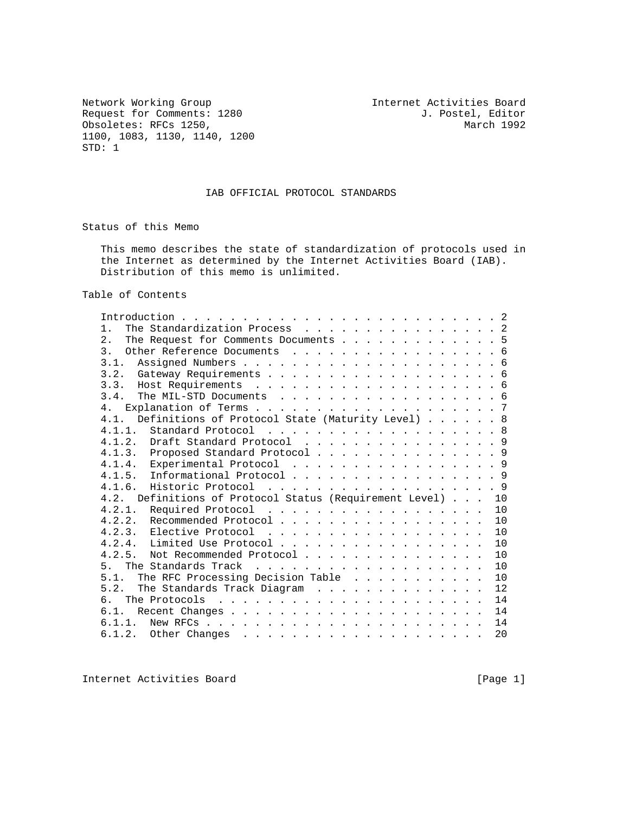Network Working Group<br>
Request for Comments: 1280 1. Postel, Editor<br>
J. Postel, Editor Request for Comments: 1280 J. Postel, Editor (b) J. Postel, Editor (b) J. Postel, Editor (b) and the USA obsoletes: RFCs 1250, Obsoletes: RFCs 1250, 1100, 1083, 1130, 1140, 1200 STD: 1

## IAB OFFICIAL PROTOCOL STANDARDS

Status of this Memo

 This memo describes the state of standardization of protocols used in the Internet as determined by the Internet Activities Board (IAB). Distribution of this memo is unlimited.

Table of Contents

| The Standardization Process 2<br>1.                                                                 |  |    |
|-----------------------------------------------------------------------------------------------------|--|----|
| 2.<br>The Request for Comments Documents 5                                                          |  |    |
| $\overline{3}$ .<br>Other Reference Documents 6                                                     |  |    |
| 3.1.                                                                                                |  |    |
|                                                                                                     |  |    |
|                                                                                                     |  |    |
| The MIL-STD Documents 6<br>3.4.                                                                     |  |    |
| 4.                                                                                                  |  |    |
| Definitions of Protocol State (Maturity Level) 8<br>4.1.                                            |  |    |
| 4.1.1.<br>Standard Protocol 8                                                                       |  |    |
| 4.1.2. Draft Standard Protocol 9                                                                    |  |    |
| 4.1.3. Proposed Standard Protocol 9                                                                 |  |    |
| 4.1.4. Experimental Protocol 9                                                                      |  |    |
| Informational Protocol 9<br>4.1.5.                                                                  |  |    |
| 4.1.6. Historic Protocol 9                                                                          |  |    |
| Definitions of Protocol Status (Requirement Level) 10<br>4.2.                                       |  |    |
| Required Protocol<br>4.2.1.                                                                         |  | 10 |
| 4.2.2. Recommended Protocol                                                                         |  | 10 |
|                                                                                                     |  | 10 |
|                                                                                                     |  | 10 |
| 4.2.5.<br>Not Recommended Protocol                                                                  |  | 10 |
| 5 <sub>1</sub>                                                                                      |  | 10 |
| The RFC Processing Decision Table<br>5.1.                                                           |  | 10 |
| $5 \quad 2$<br>The Standards Track Diagram                                                          |  | 12 |
| რ.                                                                                                  |  | 14 |
|                                                                                                     |  | 14 |
| 6.1.1.<br>New RFCs $\ldots$ $\ldots$ $\ldots$ $\ldots$ $\ldots$ $\ldots$ $\ldots$ $\ldots$ $\ldots$ |  | 14 |
|                                                                                                     |  | 20 |
|                                                                                                     |  |    |

Internet Activities Board [Page 1]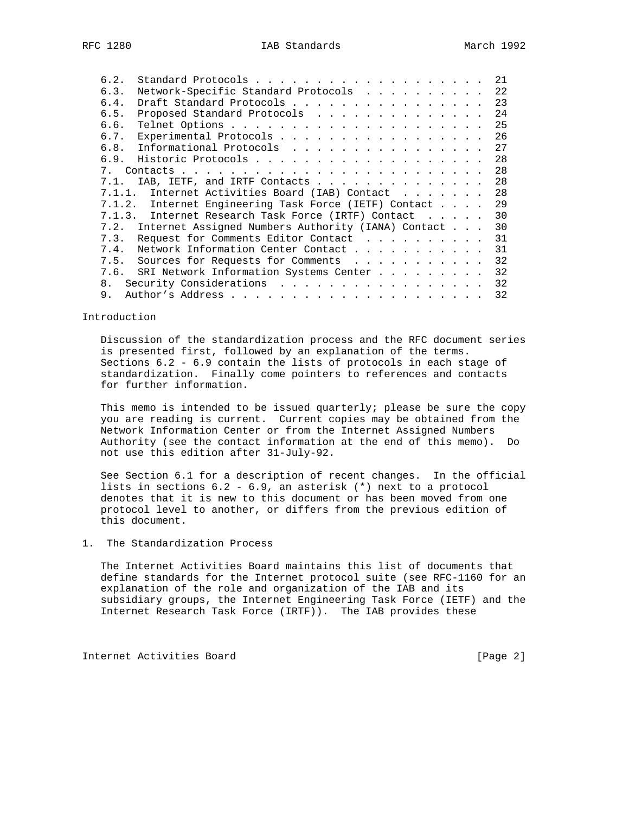| 6.2.           |                                                         |  | 21 |
|----------------|---------------------------------------------------------|--|----|
| 6.3.           | Network-Specific Standard Protocols                     |  | 22 |
| 6.4.           | Draft Standard Protocols                                |  | 23 |
| 6.5.           | Proposed Standard Protocols                             |  | 24 |
| 6.6.           |                                                         |  | 25 |
| 6.7.           | Experimental Protocols                                  |  | 26 |
| 6.8.           | Informational Protocols                                 |  | 27 |
|                | 6.9. Historic Protocols                                 |  | 28 |
|                |                                                         |  | 28 |
| 7.1.           | IAB, IETF, and IRTF Contacts                            |  | 28 |
|                | 7.1.1. Internet Activities Board (IAB) Contact          |  | 28 |
|                | 7.1.2. Internet Engineering Task Force (IETF) Contact   |  | 29 |
|                | 7.1.3. Internet Research Task Force (IRTF) Contact      |  | 30 |
|                | 7.2. Internet Assigned Numbers Authority (IANA) Contact |  | 30 |
| 7.3.           | Request for Comments Editor Contact                     |  | 31 |
| 7.4.           | Network Information Center Contact                      |  | 31 |
| 7.5.           | Sources for Requests for Comments                       |  | 32 |
| 7.6.           | SRI Network Information Systems Center                  |  | 32 |
| 8 <sub>1</sub> | Security Considerations                                 |  | 32 |
| 9.             |                                                         |  | 32 |
|                |                                                         |  |    |

Introduction

 Discussion of the standardization process and the RFC document series is presented first, followed by an explanation of the terms. Sections 6.2 - 6.9 contain the lists of protocols in each stage of standardization. Finally come pointers to references and contacts for further information.

 This memo is intended to be issued quarterly; please be sure the copy you are reading is current. Current copies may be obtained from the Network Information Center or from the Internet Assigned Numbers Authority (see the contact information at the end of this memo). Do not use this edition after 31-July-92.

 See Section 6.1 for a description of recent changes. In the official lists in sections 6.2 - 6.9, an asterisk (\*) next to a protocol denotes that it is new to this document or has been moved from one protocol level to another, or differs from the previous edition of this document.

## 1. The Standardization Process

 The Internet Activities Board maintains this list of documents that define standards for the Internet protocol suite (see RFC-1160 for an explanation of the role and organization of the IAB and its subsidiary groups, the Internet Engineering Task Force (IETF) and the Internet Research Task Force (IRTF)). The IAB provides these

Internet Activities Board [Page 2]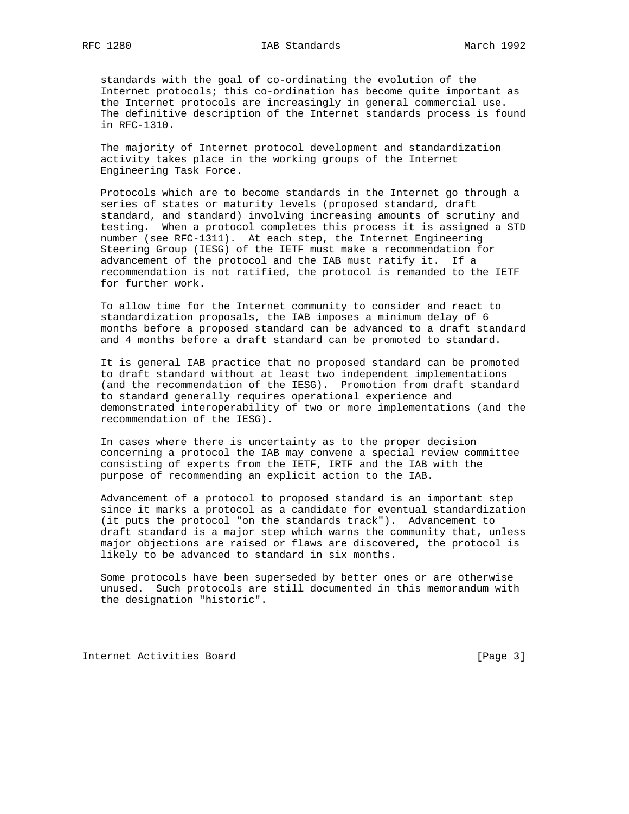standards with the goal of co-ordinating the evolution of the Internet protocols; this co-ordination has become quite important as the Internet protocols are increasingly in general commercial use. The definitive description of the Internet standards process is found in RFC-1310.

 The majority of Internet protocol development and standardization activity takes place in the working groups of the Internet Engineering Task Force.

 Protocols which are to become standards in the Internet go through a series of states or maturity levels (proposed standard, draft standard, and standard) involving increasing amounts of scrutiny and testing. When a protocol completes this process it is assigned a STD number (see RFC-1311). At each step, the Internet Engineering Steering Group (IESG) of the IETF must make a recommendation for advancement of the protocol and the IAB must ratify it. If a recommendation is not ratified, the protocol is remanded to the IETF for further work.

 To allow time for the Internet community to consider and react to standardization proposals, the IAB imposes a minimum delay of 6 months before a proposed standard can be advanced to a draft standard and 4 months before a draft standard can be promoted to standard.

 It is general IAB practice that no proposed standard can be promoted to draft standard without at least two independent implementations (and the recommendation of the IESG). Promotion from draft standard to standard generally requires operational experience and demonstrated interoperability of two or more implementations (and the recommendation of the IESG).

 In cases where there is uncertainty as to the proper decision concerning a protocol the IAB may convene a special review committee consisting of experts from the IETF, IRTF and the IAB with the purpose of recommending an explicit action to the IAB.

 Advancement of a protocol to proposed standard is an important step since it marks a protocol as a candidate for eventual standardization (it puts the protocol "on the standards track"). Advancement to draft standard is a major step which warns the community that, unless major objections are raised or flaws are discovered, the protocol is likely to be advanced to standard in six months.

 Some protocols have been superseded by better ones or are otherwise unused. Such protocols are still documented in this memorandum with the designation "historic".

Internet Activities Board [Page 3]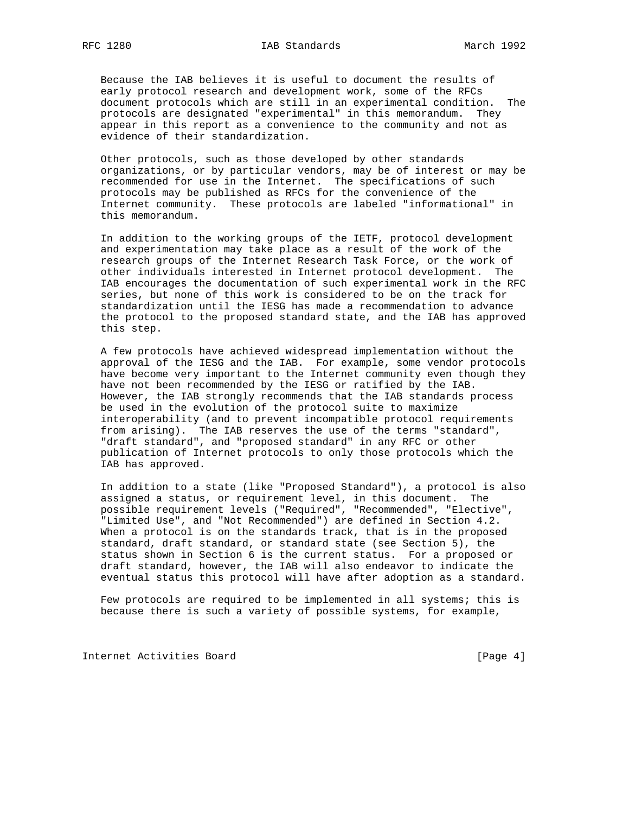Because the IAB believes it is useful to document the results of early protocol research and development work, some of the RFCs document protocols which are still in an experimental condition. The protocols are designated "experimental" in this memorandum. They appear in this report as a convenience to the community and not as evidence of their standardization.

 Other protocols, such as those developed by other standards organizations, or by particular vendors, may be of interest or may be recommended for use in the Internet. The specifications of such protocols may be published as RFCs for the convenience of the Internet community. These protocols are labeled "informational" in this memorandum.

 In addition to the working groups of the IETF, protocol development and experimentation may take place as a result of the work of the research groups of the Internet Research Task Force, or the work of other individuals interested in Internet protocol development. The IAB encourages the documentation of such experimental work in the RFC series, but none of this work is considered to be on the track for standardization until the IESG has made a recommendation to advance the protocol to the proposed standard state, and the IAB has approved this step.

 A few protocols have achieved widespread implementation without the approval of the IESG and the IAB. For example, some vendor protocols have become very important to the Internet community even though they have not been recommended by the IESG or ratified by the IAB. However, the IAB strongly recommends that the IAB standards process be used in the evolution of the protocol suite to maximize interoperability (and to prevent incompatible protocol requirements from arising). The IAB reserves the use of the terms "standard", "draft standard", and "proposed standard" in any RFC or other publication of Internet protocols to only those protocols which the IAB has approved.

 In addition to a state (like "Proposed Standard"), a protocol is also assigned a status, or requirement level, in this document. The possible requirement levels ("Required", "Recommended", "Elective", "Limited Use", and "Not Recommended") are defined in Section 4.2. When a protocol is on the standards track, that is in the proposed standard, draft standard, or standard state (see Section 5), the status shown in Section 6 is the current status. For a proposed or draft standard, however, the IAB will also endeavor to indicate the eventual status this protocol will have after adoption as a standard.

 Few protocols are required to be implemented in all systems; this is because there is such a variety of possible systems, for example,

Internet Activities Board [Page 4]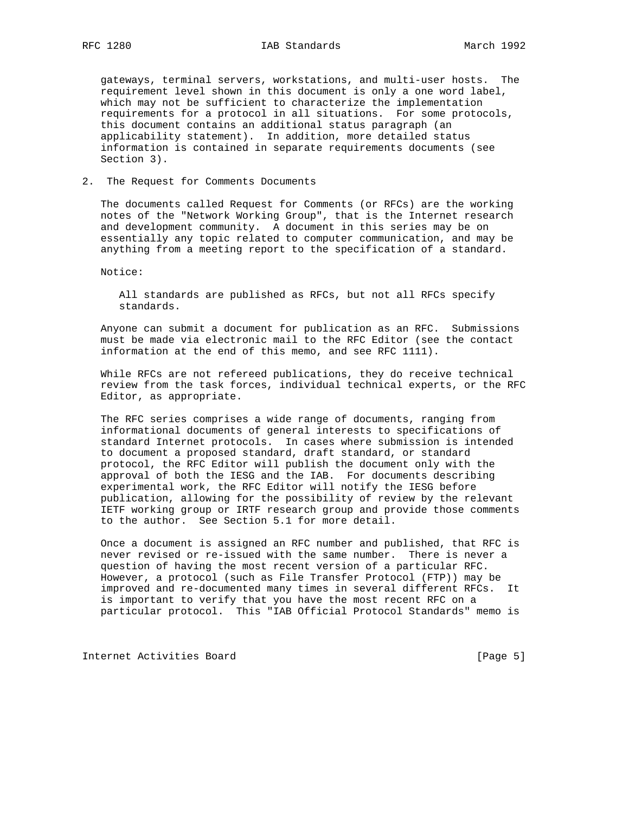gateways, terminal servers, workstations, and multi-user hosts. The requirement level shown in this document is only a one word label, which may not be sufficient to characterize the implementation requirements for a protocol in all situations. For some protocols, this document contains an additional status paragraph (an applicability statement). In addition, more detailed status information is contained in separate requirements documents (see Section 3).

#### 2. The Request for Comments Documents

 The documents called Request for Comments (or RFCs) are the working notes of the "Network Working Group", that is the Internet research and development community. A document in this series may be on essentially any topic related to computer communication, and may be anything from a meeting report to the specification of a standard.

Notice:

 All standards are published as RFCs, but not all RFCs specify standards.

 Anyone can submit a document for publication as an RFC. Submissions must be made via electronic mail to the RFC Editor (see the contact information at the end of this memo, and see RFC 1111).

 While RFCs are not refereed publications, they do receive technical review from the task forces, individual technical experts, or the RFC Editor, as appropriate.

 The RFC series comprises a wide range of documents, ranging from informational documents of general interests to specifications of standard Internet protocols. In cases where submission is intended to document a proposed standard, draft standard, or standard protocol, the RFC Editor will publish the document only with the approval of both the IESG and the IAB. For documents describing experimental work, the RFC Editor will notify the IESG before publication, allowing for the possibility of review by the relevant IETF working group or IRTF research group and provide those comments to the author. See Section 5.1 for more detail.

 Once a document is assigned an RFC number and published, that RFC is never revised or re-issued with the same number. There is never a question of having the most recent version of a particular RFC. However, a protocol (such as File Transfer Protocol (FTP)) may be improved and re-documented many times in several different RFCs. It is important to verify that you have the most recent RFC on a particular protocol. This "IAB Official Protocol Standards" memo is

Internet Activities Board [Page 5]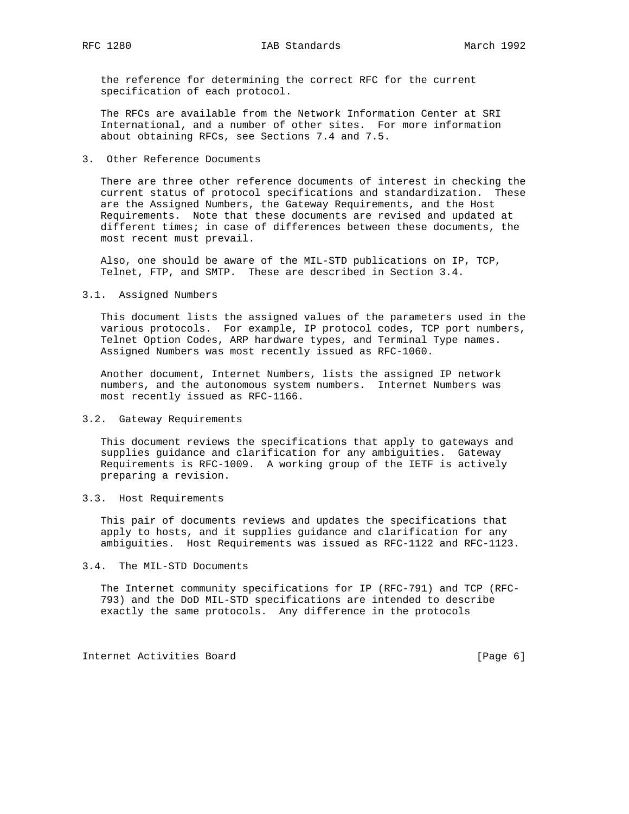the reference for determining the correct RFC for the current specification of each protocol.

 The RFCs are available from the Network Information Center at SRI International, and a number of other sites. For more information about obtaining RFCs, see Sections 7.4 and 7.5.

3. Other Reference Documents

 There are three other reference documents of interest in checking the current status of protocol specifications and standardization. These are the Assigned Numbers, the Gateway Requirements, and the Host Requirements. Note that these documents are revised and updated at different times; in case of differences between these documents, the most recent must prevail.

 Also, one should be aware of the MIL-STD publications on IP, TCP, Telnet, FTP, and SMTP. These are described in Section 3.4.

3.1. Assigned Numbers

 This document lists the assigned values of the parameters used in the various protocols. For example, IP protocol codes, TCP port numbers, Telnet Option Codes, ARP hardware types, and Terminal Type names. Assigned Numbers was most recently issued as RFC-1060.

 Another document, Internet Numbers, lists the assigned IP network numbers, and the autonomous system numbers. Internet Numbers was most recently issued as RFC-1166.

#### 3.2. Gateway Requirements

 This document reviews the specifications that apply to gateways and supplies guidance and clarification for any ambiguities. Gateway Requirements is RFC-1009. A working group of the IETF is actively preparing a revision.

3.3. Host Requirements

 This pair of documents reviews and updates the specifications that apply to hosts, and it supplies guidance and clarification for any ambiguities. Host Requirements was issued as RFC-1122 and RFC-1123.

3.4. The MIL-STD Documents

 The Internet community specifications for IP (RFC-791) and TCP (RFC- 793) and the DoD MIL-STD specifications are intended to describe exactly the same protocols. Any difference in the protocols

Internet Activities Board [Page 6]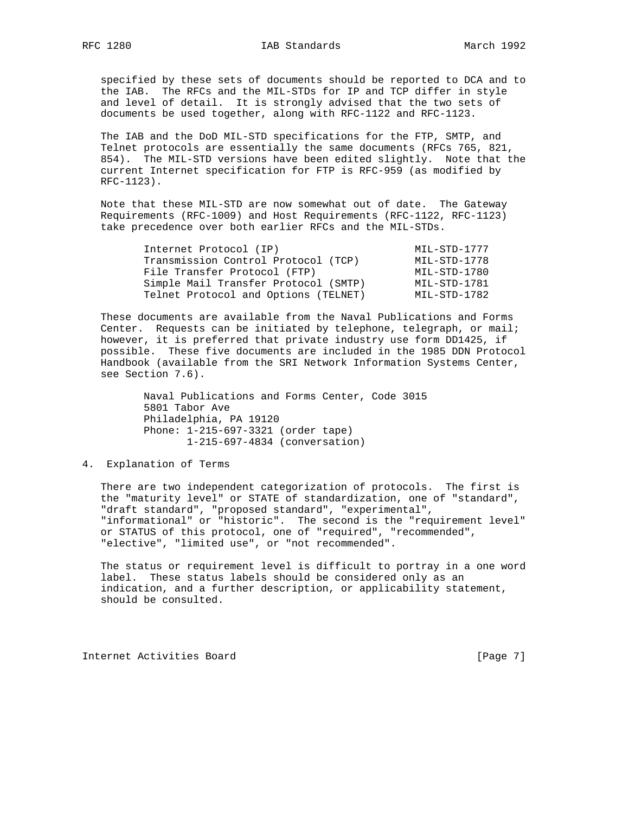specified by these sets of documents should be reported to DCA and to the IAB. The RFCs and the MIL-STDs for IP and TCP differ in style and level of detail. It is strongly advised that the two sets of documents be used together, along with RFC-1122 and RFC-1123.

 The IAB and the DoD MIL-STD specifications for the FTP, SMTP, and Telnet protocols are essentially the same documents (RFCs 765, 821, 854). The MIL-STD versions have been edited slightly. Note that the current Internet specification for FTP is RFC-959 (as modified by RFC-1123).

 Note that these MIL-STD are now somewhat out of date. The Gateway Requirements (RFC-1009) and Host Requirements (RFC-1122, RFC-1123) take precedence over both earlier RFCs and the MIL-STDs.

| Internet Protocol (IP)               | MIL-STD-1777 |
|--------------------------------------|--------------|
| Transmission Control Protocol (TCP)  | MIL-STD-1778 |
| File Transfer Protocol (FTP)         | MIL-STD-1780 |
| Simple Mail Transfer Protocol (SMTP) | MIL-STD-1781 |
| Telnet Protocol and Options (TELNET) | MIL-STD-1782 |

 These documents are available from the Naval Publications and Forms Center. Requests can be initiated by telephone, telegraph, or mail; however, it is preferred that private industry use form DD1425, if possible. These five documents are included in the 1985 DDN Protocol Handbook (available from the SRI Network Information Systems Center, see Section 7.6).

> Naval Publications and Forms Center, Code 3015 5801 Tabor Ave Philadelphia, PA 19120 Phone: 1-215-697-3321 (order tape) 1-215-697-4834 (conversation)

## 4. Explanation of Terms

 There are two independent categorization of protocols. The first is the "maturity level" or STATE of standardization, one of "standard", "draft standard", "proposed standard", "experimental", "informational" or "historic". The second is the "requirement level" or STATUS of this protocol, one of "required", "recommended", "elective", "limited use", or "not recommended".

 The status or requirement level is difficult to portray in a one word label. These status labels should be considered only as an indication, and a further description, or applicability statement, should be consulted.

Internet Activities Board [Page 7]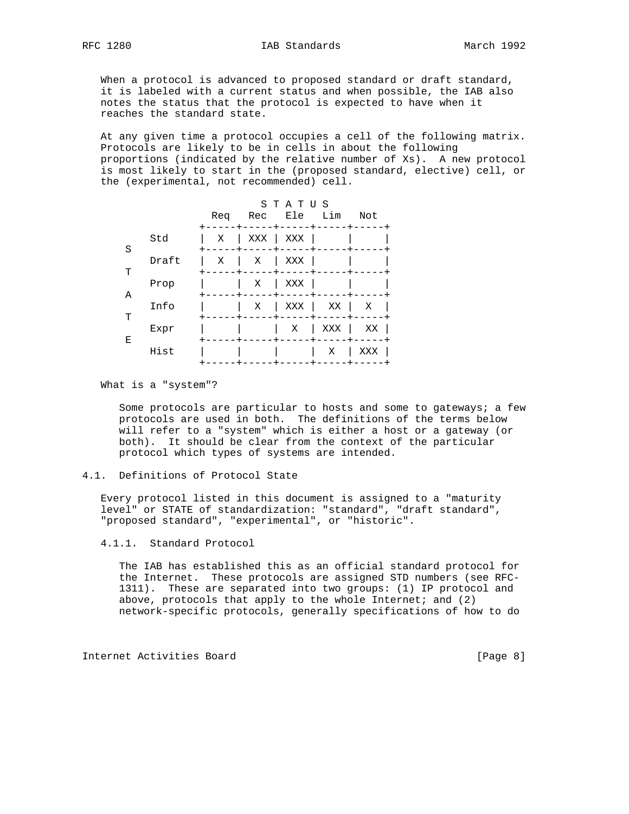When a protocol is advanced to proposed standard or draft standard, it is labeled with a current status and when possible, the IAB also notes the status that the protocol is expected to have when it reaches the standard state.

 At any given time a protocol occupies a cell of the following matrix. Protocols are likely to be in cells in about the following proportions (indicated by the relative number of Xs). A new protocol is most likely to start in the (proposed standard, elective) cell, or the (experimental, not recommended) cell.

|   |       | Req | Rec | STATUS<br>Ele | Lim | Not |
|---|-------|-----|-----|---------------|-----|-----|
| S | Std   | Χ   | XXX | XXX           |     |     |
| т | Draft | Χ   | Χ   | XXX           |     |     |
| Α | Prop  |     | Χ   | XXX           |     |     |
| т | Info  |     | Χ   | XXX           | ΧX  | Χ   |
| Ε | Expr  |     |     | Χ             | XXX | ΧX  |
|   | Hist  |     |     |               | Χ   | XXX |

What is a "system"?

 Some protocols are particular to hosts and some to gateways; a few protocols are used in both. The definitions of the terms below will refer to a "system" which is either a host or a gateway (or both). It should be clear from the context of the particular protocol which types of systems are intended.

 Every protocol listed in this document is assigned to a "maturity level" or STATE of standardization: "standard", "draft standard", "proposed standard", "experimental", or "historic".

4.1.1. Standard Protocol

 The IAB has established this as an official standard protocol for the Internet. These protocols are assigned STD numbers (see RFC- 1311). These are separated into two groups: (1) IP protocol and above, protocols that apply to the whole Internet; and  $(2)$ network-specific protocols, generally specifications of how to do

Internet Activities Board [Page 8]

<sup>4.1.</sup> Definitions of Protocol State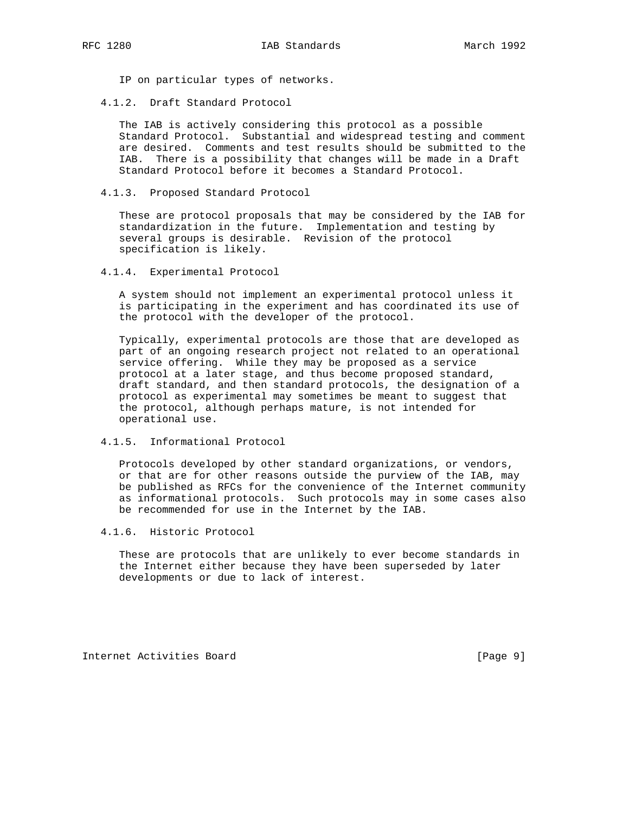IP on particular types of networks.

4.1.2. Draft Standard Protocol

 The IAB is actively considering this protocol as a possible Standard Protocol. Substantial and widespread testing and comment are desired. Comments and test results should be submitted to the IAB. There is a possibility that changes will be made in a Draft Standard Protocol before it becomes a Standard Protocol.

4.1.3. Proposed Standard Protocol

 These are protocol proposals that may be considered by the IAB for standardization in the future. Implementation and testing by several groups is desirable. Revision of the protocol specification is likely.

4.1.4. Experimental Protocol

 A system should not implement an experimental protocol unless it is participating in the experiment and has coordinated its use of the protocol with the developer of the protocol.

 Typically, experimental protocols are those that are developed as part of an ongoing research project not related to an operational service offering. While they may be proposed as a service protocol at a later stage, and thus become proposed standard, draft standard, and then standard protocols, the designation of a protocol as experimental may sometimes be meant to suggest that the protocol, although perhaps mature, is not intended for operational use.

4.1.5. Informational Protocol

 Protocols developed by other standard organizations, or vendors, or that are for other reasons outside the purview of the IAB, may be published as RFCs for the convenience of the Internet community as informational protocols. Such protocols may in some cases also be recommended for use in the Internet by the IAB.

4.1.6. Historic Protocol

 These are protocols that are unlikely to ever become standards in the Internet either because they have been superseded by later developments or due to lack of interest.

Internet Activities Board [Page 9]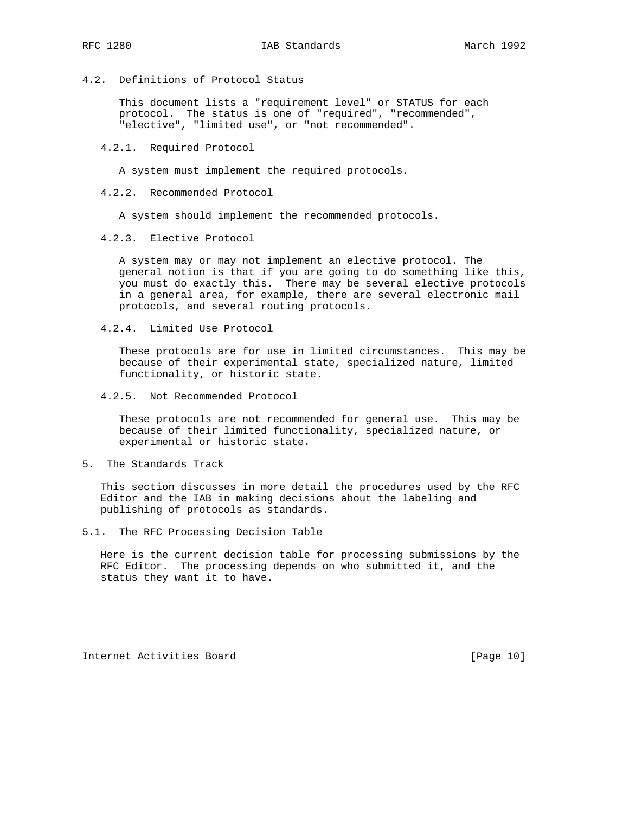4.2. Definitions of Protocol Status

 This document lists a "requirement level" or STATUS for each protocol. The status is one of "required", "recommended", "elective", "limited use", or "not recommended".

4.2.1. Required Protocol

A system must implement the required protocols.

4.2.2. Recommended Protocol

A system should implement the recommended protocols.

4.2.3. Elective Protocol

 A system may or may not implement an elective protocol. The general notion is that if you are going to do something like this, you must do exactly this. There may be several elective protocols in a general area, for example, there are several electronic mail protocols, and several routing protocols.

4.2.4. Limited Use Protocol

 These protocols are for use in limited circumstances. This may be because of their experimental state, specialized nature, limited functionality, or historic state.

4.2.5. Not Recommended Protocol

 These protocols are not recommended for general use. This may be because of their limited functionality, specialized nature, or experimental or historic state.

5. The Standards Track

 This section discusses in more detail the procedures used by the RFC Editor and the IAB in making decisions about the labeling and publishing of protocols as standards.

5.1. The RFC Processing Decision Table

 Here is the current decision table for processing submissions by the RFC Editor. The processing depends on who submitted it, and the status they want it to have.

Internet Activities Board [Page 10]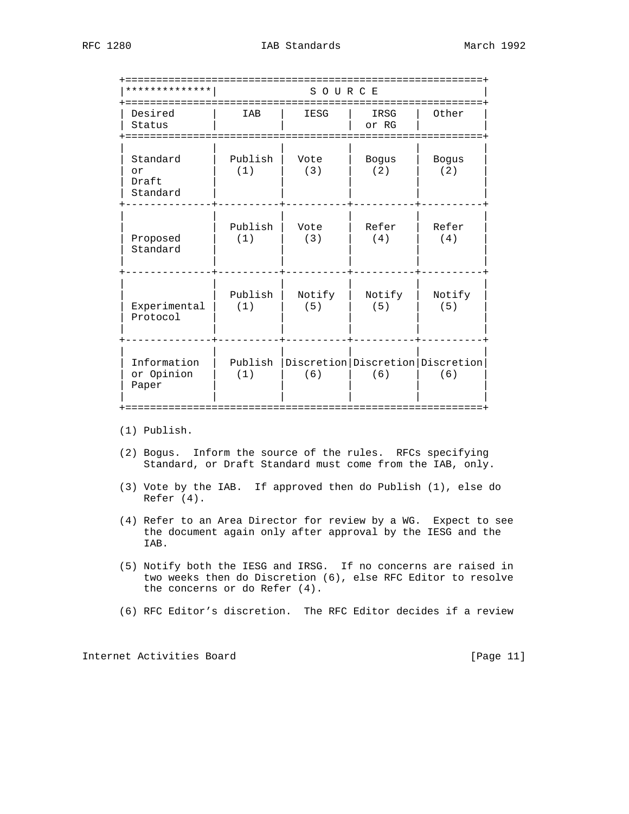| ***********                         |                | SOURCE<br>========= |                              |                                               |
|-------------------------------------|----------------|---------------------|------------------------------|-----------------------------------------------|
| Desired<br>Status<br>===========    | IAB            | IESG                | IRSG<br>or RG<br>----------- | Other                                         |
| Standard<br>or<br>Draft<br>Standard | Publish<br>(1) | Vote<br>(3)         | Bogus<br>(2)                 | <b>Bogus</b><br>(2)                           |
| Proposed<br>Standard                | Publish<br>(1) | Vote<br>(3)         | Refer<br>(4)                 | Refer<br>(4)                                  |
| Experimental<br>Protocol            | Publish<br>(1) | Notify<br>(5)       | Notify<br>(5)                | Notify<br>(5)                                 |
| Information<br>or Opinion<br>Paper  | Publish<br>(1) | (6)                 | (6)                          | Discretion   Discretion   Discretion  <br>(6) |

(1) Publish.

- (2) Bogus. Inform the source of the rules. RFCs specifying Standard, or Draft Standard must come from the IAB, only.
- (3) Vote by the IAB. If approved then do Publish (1), else do Refer (4).
- (4) Refer to an Area Director for review by a WG. Expect to see the document again only after approval by the IESG and the IAB.
- (5) Notify both the IESG and IRSG. If no concerns are raised in two weeks then do Discretion (6), else RFC Editor to resolve the concerns or do Refer (4).
- (6) RFC Editor's discretion. The RFC Editor decides if a review

Internet Activities Board [Page 11]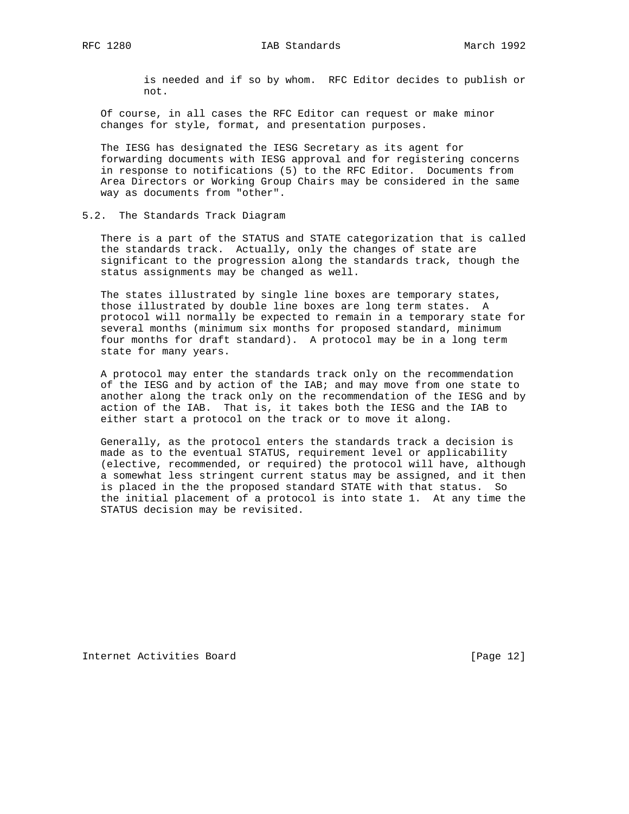is needed and if so by whom. RFC Editor decides to publish or not.

 Of course, in all cases the RFC Editor can request or make minor changes for style, format, and presentation purposes.

 The IESG has designated the IESG Secretary as its agent for forwarding documents with IESG approval and for registering concerns in response to notifications (5) to the RFC Editor. Documents from Area Directors or Working Group Chairs may be considered in the same way as documents from "other".

#### 5.2. The Standards Track Diagram

 There is a part of the STATUS and STATE categorization that is called the standards track. Actually, only the changes of state are significant to the progression along the standards track, though the status assignments may be changed as well.

 The states illustrated by single line boxes are temporary states, those illustrated by double line boxes are long term states. A protocol will normally be expected to remain in a temporary state for several months (minimum six months for proposed standard, minimum four months for draft standard). A protocol may be in a long term state for many years.

 A protocol may enter the standards track only on the recommendation of the IESG and by action of the IAB; and may move from one state to another along the track only on the recommendation of the IESG and by action of the IAB. That is, it takes both the IESG and the IAB to either start a protocol on the track or to move it along.

 Generally, as the protocol enters the standards track a decision is made as to the eventual STATUS, requirement level or applicability (elective, recommended, or required) the protocol will have, although a somewhat less stringent current status may be assigned, and it then is placed in the the proposed standard STATE with that status. So the initial placement of a protocol is into state 1. At any time the STATUS decision may be revisited.

Internet Activities Board [Page 12]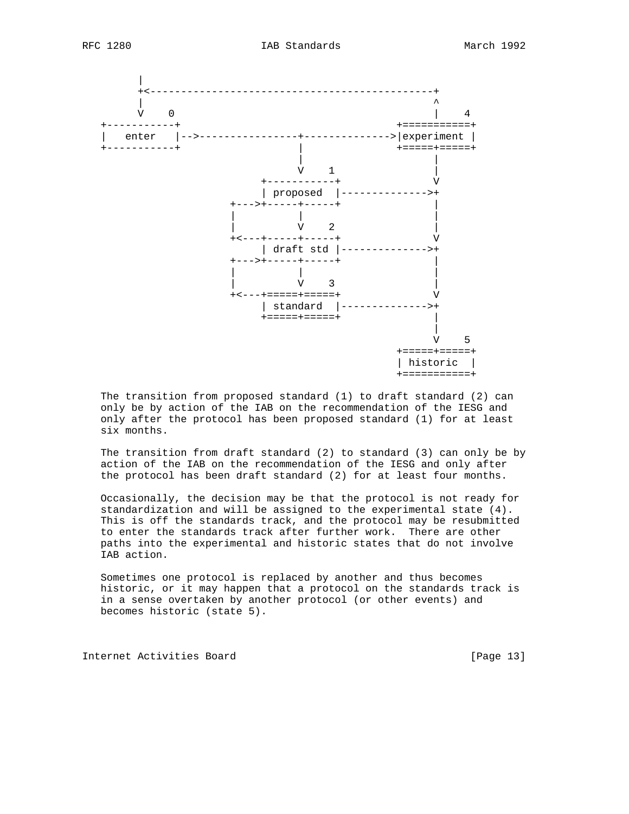

 The transition from proposed standard (1) to draft standard (2) can only be by action of the IAB on the recommendation of the IESG and only after the protocol has been proposed standard (1) for at least six months.

 The transition from draft standard (2) to standard (3) can only be by action of the IAB on the recommendation of the IESG and only after the protocol has been draft standard (2) for at least four months.

 Occasionally, the decision may be that the protocol is not ready for standardization and will be assigned to the experimental state (4). This is off the standards track, and the protocol may be resubmitted to enter the standards track after further work. There are other paths into the experimental and historic states that do not involve IAB action.

 Sometimes one protocol is replaced by another and thus becomes historic, or it may happen that a protocol on the standards track is in a sense overtaken by another protocol (or other events) and becomes historic (state 5).

Internet Activities Board [Page 13]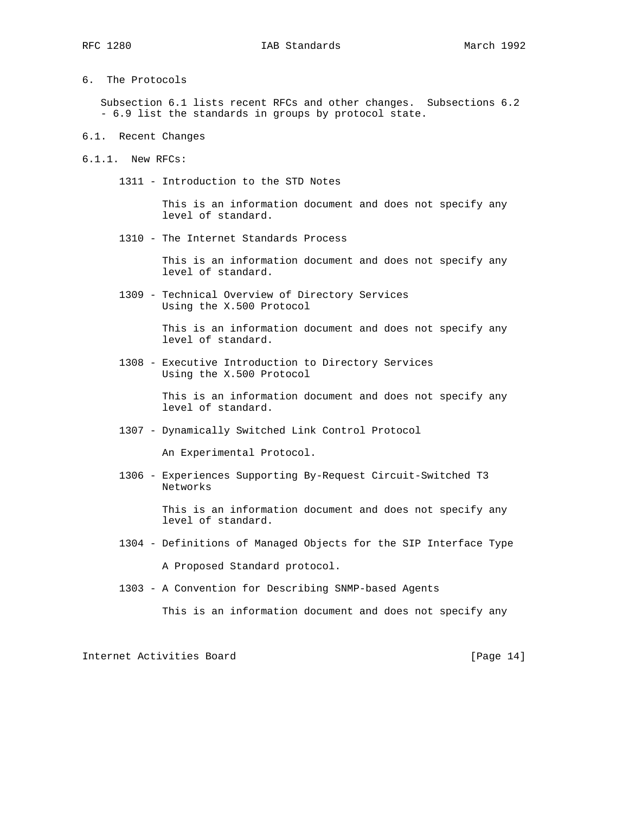6. The Protocols

 Subsection 6.1 lists recent RFCs and other changes. Subsections 6.2 - 6.9 list the standards in groups by protocol state.

- 6.1. Recent Changes
- 6.1.1. New RFCs:
	- 1311 Introduction to the STD Notes

 This is an information document and does not specify any level of standard.

1310 - The Internet Standards Process

 This is an information document and does not specify any level of standard.

 1309 - Technical Overview of Directory Services Using the X.500 Protocol

> This is an information document and does not specify any level of standard.

 1308 - Executive Introduction to Directory Services Using the X.500 Protocol

> This is an information document and does not specify any level of standard.

1307 - Dynamically Switched Link Control Protocol

An Experimental Protocol.

 1306 - Experiences Supporting By-Request Circuit-Switched T3 Networks

> This is an information document and does not specify any level of standard.

- 1304 Definitions of Managed Objects for the SIP Interface Type A Proposed Standard protocol.
- 1303 A Convention for Describing SNMP-based Agents

This is an information document and does not specify any

Internet Activities Board [Page 14]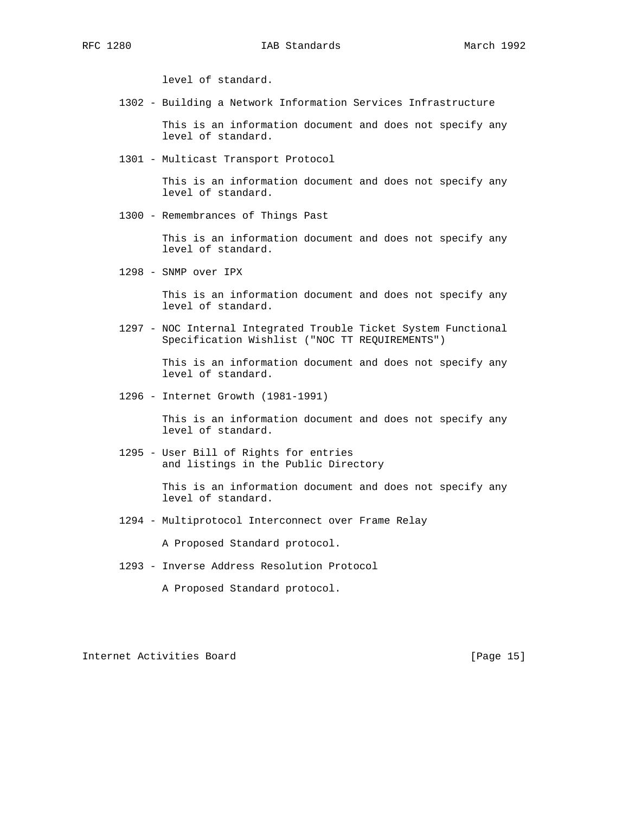level of standard.

1302 - Building a Network Information Services Infrastructure

 This is an information document and does not specify any level of standard.

1301 - Multicast Transport Protocol

 This is an information document and does not specify any level of standard.

1300 - Remembrances of Things Past

 This is an information document and does not specify any level of standard.

1298 - SNMP over IPX

 This is an information document and does not specify any level of standard.

 1297 - NOC Internal Integrated Trouble Ticket System Functional Specification Wishlist ("NOC TT REQUIREMENTS")

> This is an information document and does not specify any level of standard.

1296 - Internet Growth (1981-1991)

 This is an information document and does not specify any level of standard.

 1295 - User Bill of Rights for entries and listings in the Public Directory

> This is an information document and does not specify any level of standard.

1294 - Multiprotocol Interconnect over Frame Relay

A Proposed Standard protocol.

1293 - Inverse Address Resolution Protocol

A Proposed Standard protocol.

Internet Activities Board [Page 15]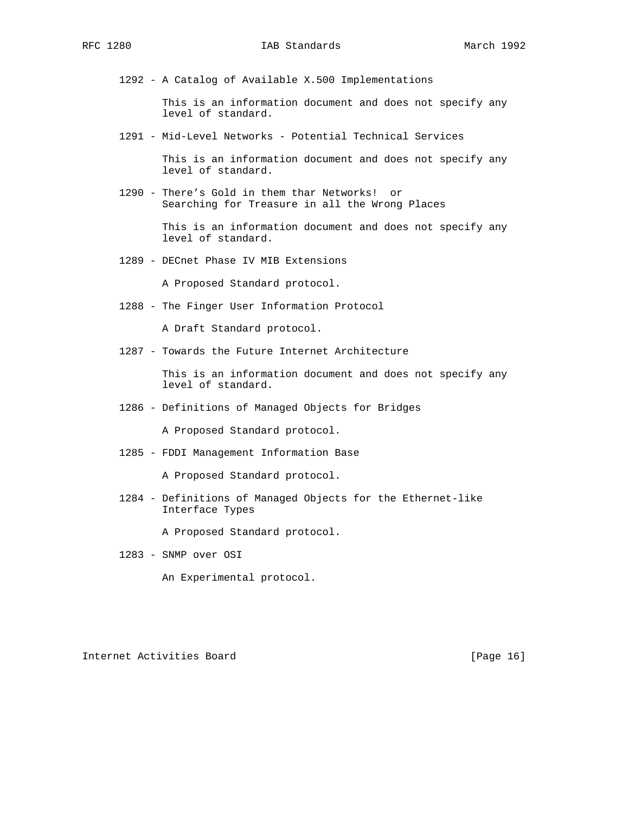1292 - A Catalog of Available X.500 Implementations

 This is an information document and does not specify any level of standard.

1291 - Mid-Level Networks - Potential Technical Services

 This is an information document and does not specify any level of standard.

 1290 - There's Gold in them thar Networks! or Searching for Treasure in all the Wrong Places

> This is an information document and does not specify any level of standard.

1289 - DECnet Phase IV MIB Extensions

A Proposed Standard protocol.

1288 - The Finger User Information Protocol

A Draft Standard protocol.

1287 - Towards the Future Internet Architecture

 This is an information document and does not specify any level of standard.

1286 - Definitions of Managed Objects for Bridges

A Proposed Standard protocol.

1285 - FDDI Management Information Base

A Proposed Standard protocol.

 1284 - Definitions of Managed Objects for the Ethernet-like Interface Types

A Proposed Standard protocol.

1283 - SNMP over OSI

An Experimental protocol.

Internet Activities Board [Page 16]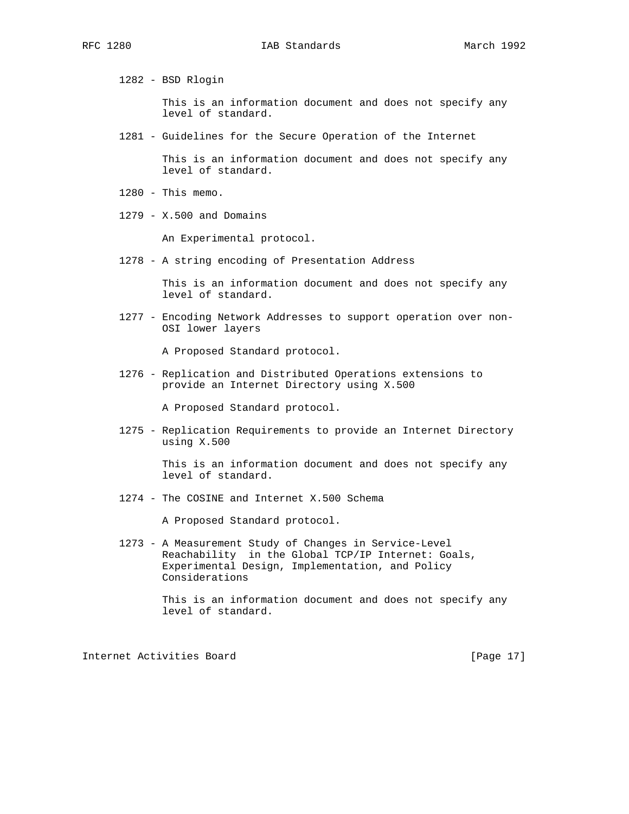1282 - BSD Rlogin

 This is an information document and does not specify any level of standard.

1281 - Guidelines for the Secure Operation of the Internet

 This is an information document and does not specify any level of standard.

- 1280 This memo.
- 1279 X.500 and Domains

An Experimental protocol.

1278 - A string encoding of Presentation Address

 This is an information document and does not specify any level of standard.

 1277 - Encoding Network Addresses to support operation over non- OSI lower layers

A Proposed Standard protocol.

 1276 - Replication and Distributed Operations extensions to provide an Internet Directory using X.500

A Proposed Standard protocol.

 1275 - Replication Requirements to provide an Internet Directory using X.500

> This is an information document and does not specify any level of standard.

1274 - The COSINE and Internet X.500 Schema

A Proposed Standard protocol.

 1273 - A Measurement Study of Changes in Service-Level Reachability in the Global TCP/IP Internet: Goals, Experimental Design, Implementation, and Policy Considerations

> This is an information document and does not specify any level of standard.

Internet Activities Board [Page 17]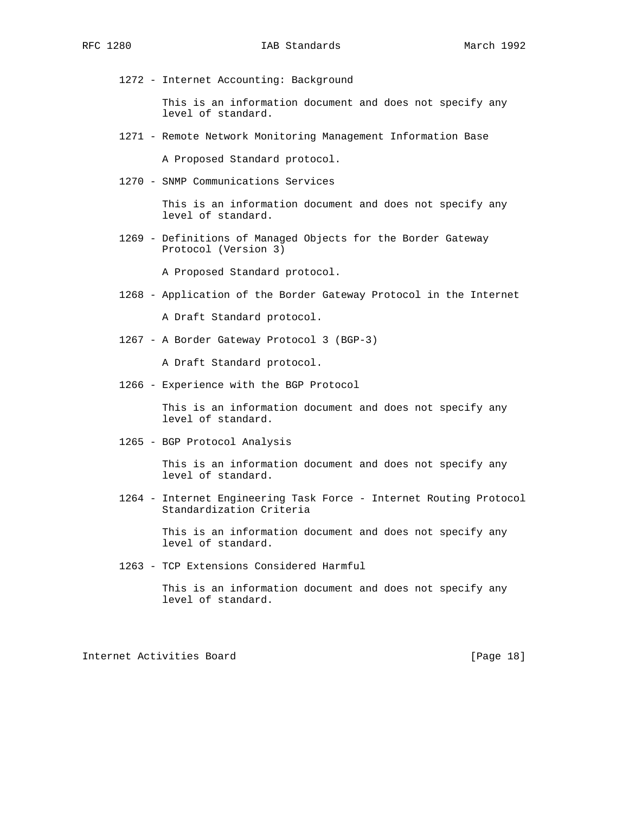1272 - Internet Accounting: Background

 This is an information document and does not specify any level of standard.

1271 - Remote Network Monitoring Management Information Base

A Proposed Standard protocol.

1270 - SNMP Communications Services

 This is an information document and does not specify any level of standard.

 1269 - Definitions of Managed Objects for the Border Gateway Protocol (Version 3)

A Proposed Standard protocol.

1268 - Application of the Border Gateway Protocol in the Internet

A Draft Standard protocol.

1267 - A Border Gateway Protocol 3 (BGP-3)

A Draft Standard protocol.

1266 - Experience with the BGP Protocol

 This is an information document and does not specify any level of standard.

1265 - BGP Protocol Analysis

 This is an information document and does not specify any level of standard.

 1264 - Internet Engineering Task Force - Internet Routing Protocol Standardization Criteria

> This is an information document and does not specify any level of standard.

1263 - TCP Extensions Considered Harmful

 This is an information document and does not specify any level of standard.

Internet Activities Board [Page 18]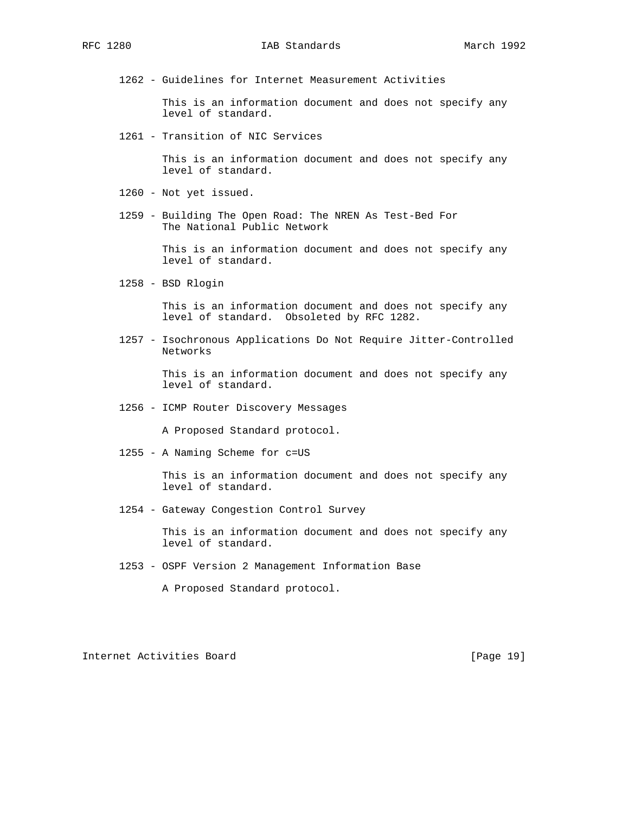1262 - Guidelines for Internet Measurement Activities

 This is an information document and does not specify any level of standard.

1261 - Transition of NIC Services

 This is an information document and does not specify any level of standard.

- 1260 Not yet issued.
- 1259 Building The Open Road: The NREN As Test-Bed For The National Public Network

 This is an information document and does not specify any level of standard.

1258 - BSD Rlogin

 This is an information document and does not specify any level of standard. Obsoleted by RFC 1282.

 1257 - Isochronous Applications Do Not Require Jitter-Controlled Networks

> This is an information document and does not specify any level of standard.

1256 - ICMP Router Discovery Messages

A Proposed Standard protocol.

1255 - A Naming Scheme for c=US

 This is an information document and does not specify any level of standard.

1254 - Gateway Congestion Control Survey

 This is an information document and does not specify any level of standard.

1253 - OSPF Version 2 Management Information Base

A Proposed Standard protocol.

Internet Activities Board [Page 19]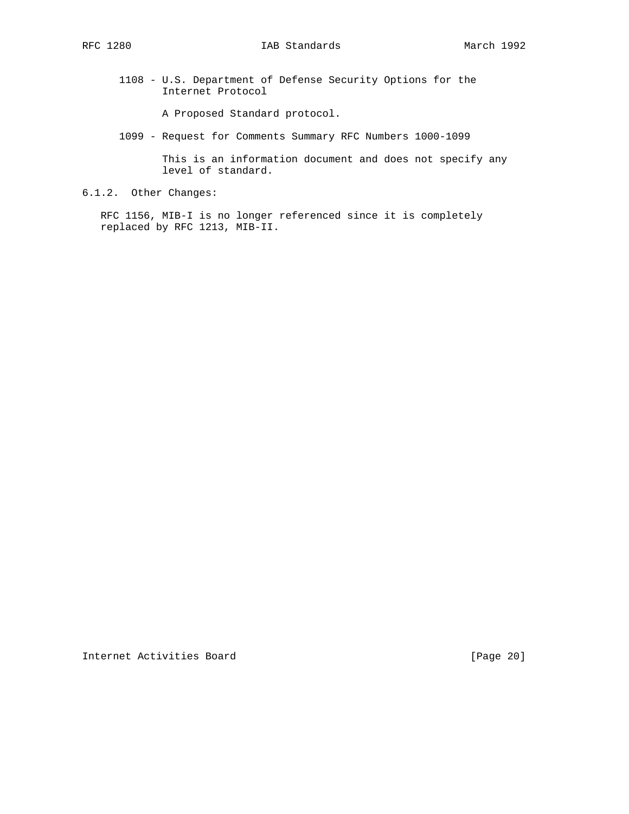1108 - U.S. Department of Defense Security Options for the Internet Protocol

A Proposed Standard protocol.

1099 - Request for Comments Summary RFC Numbers 1000-1099

 This is an information document and does not specify any level of standard.

6.1.2. Other Changes:

 RFC 1156, MIB-I is no longer referenced since it is completely replaced by RFC 1213, MIB-II.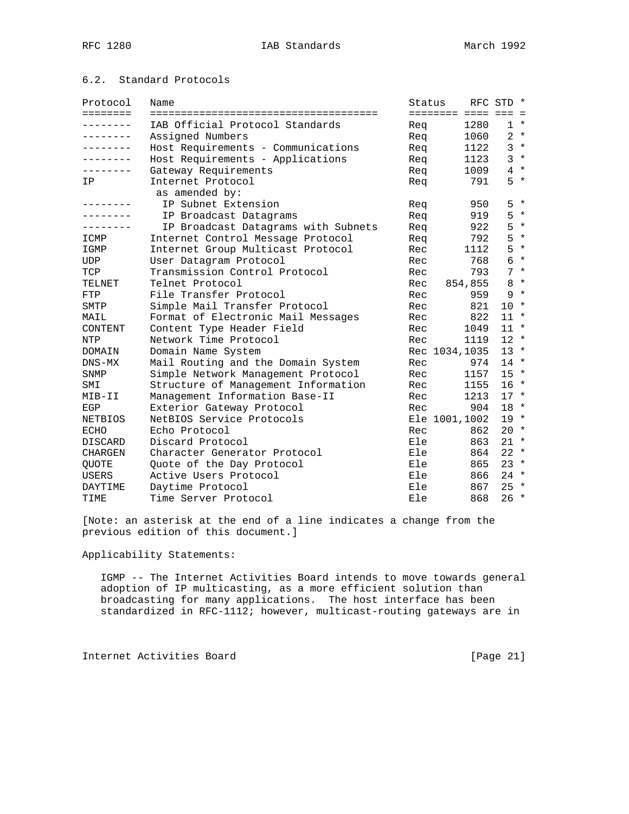## 6.2. Standard Protocols

| Protocol       | Name                                | Status |                   | RFC STD * |         |
|----------------|-------------------------------------|--------|-------------------|-----------|---------|
| ========       |                                     |        | ======== ==== === |           | $=$     |
| .              | IAB Official Protocol Standards     | Rea    | 1280              |           | $1 *$   |
| --------       | Assigned Numbers                    | Req    | 1060              |           | $2 *$   |
| --------       | Host Requirements - Communications  | Req    | 1122              |           | $3 *$   |
|                | Host Requirements - Applications    | Req    | 1123              |           | $3 *$   |
|                | Gateway Requirements                | Req    | 1009              |           | $4 *$   |
| IP             | Internet Protocol                   | Req    | 791               |           | $5 *$   |
|                | as amended by:                      |        |                   |           |         |
|                | IP Subnet Extension                 | Req    | 950               | 5         | $\star$ |
|                | IP Broadcast Datagrams              | Req    | 919               | 5         | $\star$ |
| --------       | IP Broadcast Datagrams with Subnets | Req    | 922               | 5         | $\star$ |
| ICMP           | Internet Control Message Protocol   | Req    | 792               | 5         | $\star$ |
| IGMP           | Internet Group Multicast Protocol   | Rec    | 1112              | 5         | $\star$ |
| UDP            | User Datagram Protocol              | Rec    | 768               | 6         | $\star$ |
| TCP            | Transmission Control Protocol       | Rec    | 793               |           | $7 *$   |
| TELNET         | Telnet Protocol                     | Rec    | 854,855           |           | $8 *$   |
| FTP            | File Transfer Protocol              | Rec    | 959               |           | $9 *$   |
| SMTP           | Simple Mail Transfer Protocol       | Rec    | 821               | 10        | $\star$ |
| MAIL           | Format of Electronic Mail Messages  | Rec    | 822               | $11 *$    |         |
| CONTENT        | Content Type Header Field           | Rec    | 1049              | $11 *$    |         |
| <b>NTP</b>     | Network Time Protocol               | Rec    | 1119              | $12 *$    |         |
| DOMAIN         | Domain Name System                  |        | Rec 1034,1035     | $13 *$    |         |
| $DNS-MX$       | Mail Routing and the Domain System  | Rec    | 974               | $14$ *    |         |
| SNMP           | Simple Network Management Protocol  | Rec    | 1157              | $15 *$    |         |
| SMI            | Structure of Management Information | Rec    | 1155              | $16 *$    |         |
| MIB-II         | Management Information Base-II      | Rec    | 1213              | $17 *$    |         |
| EGP            | Exterior Gateway Protocol           | Rec    | 904               | $18 *$    |         |
| <b>NETBIOS</b> | NetBIOS Service Protocols           |        | Ele 1001,1002     | $19 *$    |         |
| <b>ECHO</b>    | Echo Protocol                       | Rec    | 862               | $20 *$    |         |
| <b>DISCARD</b> | Discard Protocol                    | Ele    | 863               | $21 *$    |         |
| CHARGEN        | Character Generator Protocol        | Ele    | 864               | $22 *$    |         |
| <b>QUOTE</b>   | Quote of the Day Protocol           | Ele    | 865               | $23 *$    |         |
| USERS          | Active Users Protocol               | Ele    | 866               | $24 *$    |         |
| DAYTIME        | Daytime Protocol                    | Ele    | 867               | $25 *$    |         |
| TIME           | Time Server Protocol                | Ele    | 868               | $26 *$    |         |

[Note: an asterisk at the end of a line indicates a change from the previous edition of this document.]

Applicability Statements:

 IGMP -- The Internet Activities Board intends to move towards general adoption of IP multicasting, as a more efficient solution than broadcasting for many applications. The host interface has been standardized in RFC-1112; however, multicast-routing gateways are in

Internet Activities Board [Page 21]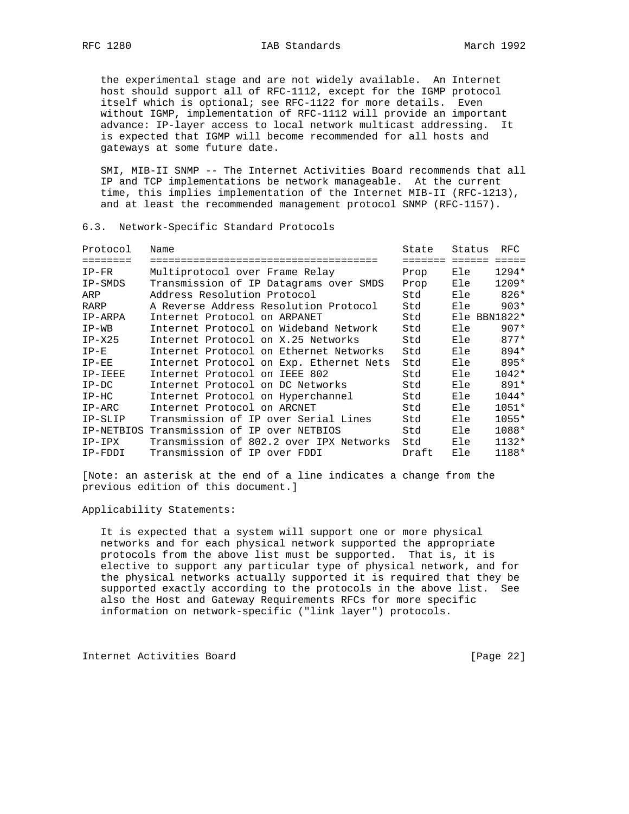the experimental stage and are not widely available. An Internet host should support all of RFC-1112, except for the IGMP protocol itself which is optional; see RFC-1122 for more details. Even without IGMP, implementation of RFC-1112 will provide an important advance: IP-layer access to local network multicast addressing. It is expected that IGMP will become recommended for all hosts and gateways at some future date.

SMI, MIB-II SNMP -- The Internet Activities Board recommends that all IP and TCP implementations be network manageable. At the current time, this implies implementation of the Internet MIB-II (RFC-1213), and at least the recommended management protocol SNMP (RFC-1157).

6.3. Network-Specific Standard Protocols

| Protocol                                                                            | Name                                    | State   | Status | RFC             |
|-------------------------------------------------------------------------------------|-----------------------------------------|---------|--------|-----------------|
| $\begin{array}{cccccccccccccc} = & = & = & = & = & = & = & = & = & = & \end{array}$ | ===================================     | ======= | ====== | $=$ $=$ $=$ $=$ |
| $IP-FR$                                                                             | Multiprotocol over Frame Relay          | Prop    | Ele    | $1294*$         |
| IP-SMDS                                                                             | Transmission of IP Datagrams over SMDS  | Prop    | Ele    | $1209*$         |
| ARP                                                                                 | Address Resolution Protocol             | Std     | Ele    | $826*$          |
| RARP                                                                                | A Reverse Address Resolution Protocol   | Std     | Ele    | $903*$          |
| IP-ARPA                                                                             | Internet Protocol on ARPANET            | Std     |        | $E1e$ BBN1822*  |
| $IP-WB$                                                                             | Internet Protocol on Wideband Network   | Std     | Ele    | $907*$          |
| $IP-X25$                                                                            | Internet Protocol on X.25 Networks      | Std     | Ele    | $877*$          |
| $IP-E$                                                                              | Internet Protocol on Ethernet Networks  | Std     | Ele    | 894*            |
| $IP-EE$                                                                             | Internet Protocol on Exp. Ethernet Nets | Std     | Ele    | 895*            |
| IP-IEEE                                                                             | Internet Protocol on IEEE 802           | Std     | Ele    | $1042*$         |
| $IP-DC$                                                                             | Internet Protocol on DC Networks        | Std     | Ele    | 891*            |
| $IP-HC$                                                                             | Internet Protocol on Hyperchannel       | Std     | Ele    | $1044*$         |
| $IP-ARC$                                                                            | Internet Protocol on ARCNET             | Std     | Ele    | $1051*$         |
| IP-SLIP                                                                             | Transmission of IP over Serial Lines    | Std     | Ele    | $1055*$         |
| IP-NETBIOS                                                                          | Transmission of IP over NETBIOS         | Std     | Ele    | 1088*           |
| IP-IPX                                                                              | Transmission of 802.2 over IPX Networks | Std     | Ele    | $1132*$         |
| IP-FDDI                                                                             | Transmission of IP over FDDI            | Draft   | Ele    | 1188*           |

[Note: an asterisk at the end of a line indicates a change from the previous edition of this document.]

Applicability Statements:

 It is expected that a system will support one or more physical networks and for each physical network supported the appropriate protocols from the above list must be supported. That is, it is elective to support any particular type of physical network, and for the physical networks actually supported it is required that they be supported exactly according to the protocols in the above list. See also the Host and Gateway Requirements RFCs for more specific information on network-specific ("link layer") protocols.

Internet Activities Board [Page 22]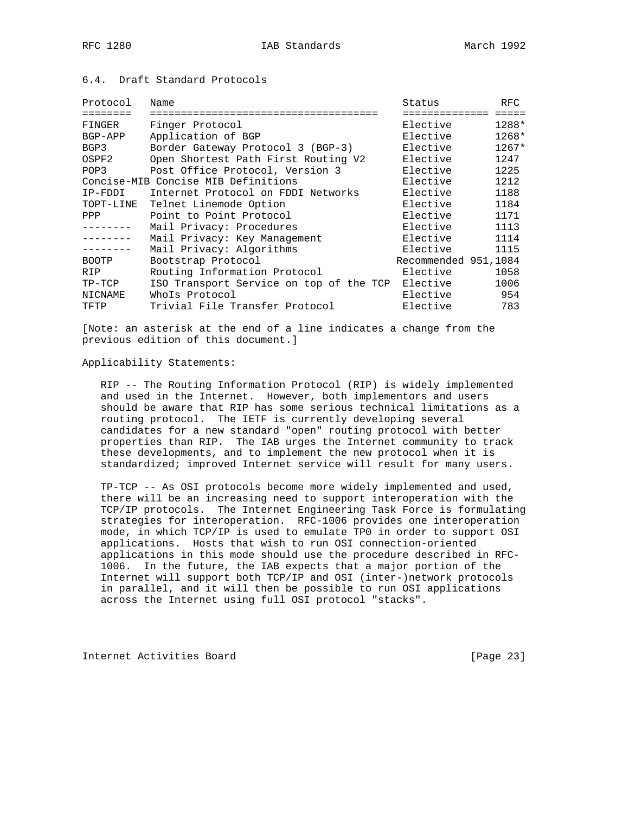## 6.4. Draft Standard Protocols

| Protocol     | Name                                    | Status               | RFC     |
|--------------|-----------------------------------------|----------------------|---------|
|              | =====================                   | ===========          |         |
| FINGER       | Finger Protocol                         | Elective             | 1288*   |
| BGP-APP      | Application of BGP                      | Elective             | 1268*   |
| BGP3         | Border Gateway Protocol 3 (BGP-3)       | Elective             | $1267*$ |
| OSPF2        | Open Shortest Path First Routing V2     | Elective             | 1247    |
| POP3         | Post Office Protocol, Version 3         | Elective             | 1225    |
|              | Concise-MIB Concise MIB Definitions     | Elective             | 1212    |
| IP-FDDI      | Internet Protocol on FDDI Networks      | Elective             | 1188    |
| TOPT-LINE    | Telnet Linemode Option                  | Elective             | 1184    |
| PPP          | Point to Point Protocol                 | Elective             | 1171    |
|              | Mail Privacy: Procedures                | Elective             | 1113    |
|              | Mail Privacy: Key Management            | Elective             | 1114    |
|              | Mail Privacy: Algorithms                | Elective             | 1115    |
| <b>BOOTP</b> | Bootstrap Protocol                      | Recommended 951,1084 |         |
| <b>RIP</b>   | Routing Information Protocol            | Elective             | 1058    |
| $TP-TCP$     | ISO Transport Service on top of the TCP | Elective             | 1006    |
| NICNAME      | WhoIs Protocol                          | Elective             | 954     |
| TFTP         | Trivial File Transfer Protocol          | Elective             | 783     |

[Note: an asterisk at the end of a line indicates a change from the previous edition of this document.]

#### Applicability Statements:

 RIP -- The Routing Information Protocol (RIP) is widely implemented and used in the Internet. However, both implementors and users should be aware that RIP has some serious technical limitations as a routing protocol. The IETF is currently developing several candidates for a new standard "open" routing protocol with better properties than RIP. The IAB urges the Internet community to track these developments, and to implement the new protocol when it is standardized; improved Internet service will result for many users.

 TP-TCP -- As OSI protocols become more widely implemented and used, there will be an increasing need to support interoperation with the TCP/IP protocols. The Internet Engineering Task Force is formulating strategies for interoperation. RFC-1006 provides one interoperation mode, in which TCP/IP is used to emulate TP0 in order to support OSI applications. Hosts that wish to run OSI connection-oriented applications in this mode should use the procedure described in RFC- 1006. In the future, the IAB expects that a major portion of the Internet will support both TCP/IP and OSI (inter-)network protocols in parallel, and it will then be possible to run OSI applications across the Internet using full OSI protocol "stacks".

Internet Activities Board [Page 23]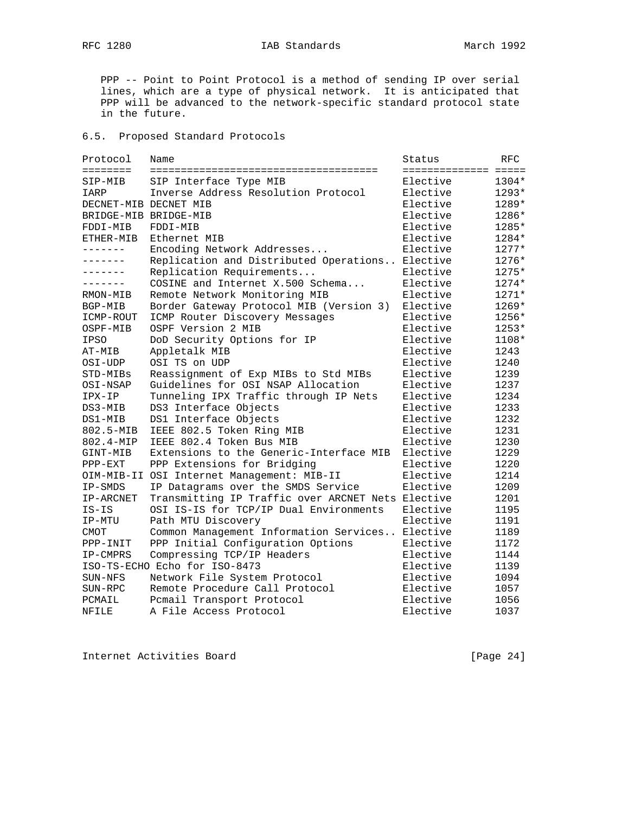# RFC 1280 **IAB Standards** March 1992

 PPP -- Point to Point Protocol is a method of sending IP over serial lines, which are a type of physical network. It is anticipated that PPP will be advanced to the network-specific standard protocol state in the future.

## 6.5. Proposed Standard Protocols

| Protocol              | Name                                              | Status               | RFC     |
|-----------------------|---------------------------------------------------|----------------------|---------|
| $=$                   |                                                   | ==================== |         |
| SIP-MIB               | SIP Interface Type MIB                            | Elective             | 1304*   |
| IARP                  | Inverse Address Resolution Protocol               | Elective             | 1293*   |
| DECNET-MIB DECNET MIB |                                                   | Elective             | 1289*   |
| BRIDGE-MIB BRIDGE-MIB |                                                   | Elective             | 1286*   |
| FDDI-MIB              | FDDI-MIB                                          | Elective             | 1285*   |
| ETHER-MIB             | Ethernet MIB                                      | Elective             | 1284*   |
| -------               | Encoding Network Addresses                        | Elective             | $1277*$ |
| -------               | Replication and Distributed Operations            | Elective             | 1276*   |
| .                     | Replication Requirements                          | Elective             | 1275*   |
|                       | COSINE and Internet X.500 Schema                  | Elective             | 1274*   |
| RMON-MIB              | Remote Network Monitoring MIB                     | Elective             | 1271*   |
| BGP-MIB               | Border Gateway Protocol MIB (Version 3)           | Elective             | 1269*   |
| ICMP-ROUT             | ICMP Router Discovery Messages                    | Elective             | 1256*   |
| OSPF-MIB              | OSPF Version 2 MIB                                | Elective             | 1253*   |
| <b>IPSO</b>           | DoD Security Options for IP                       | Elective             | 1108*   |
| AT-MIB                | Appletalk MIB                                     | Elective             | 1243    |
| OSI-UDP               | OSI TS on UDP                                     | Elective             | 1240    |
| STD-MIBs              | Reassignment of Exp MIBs to Std MIBs              | Elective             | 1239    |
| OSI-NSAP              | Guidelines for OSI NSAP Allocation                | Elective             | 1237    |
| IPX-IP                | Tunneling IPX Traffic through IP Nets             | Elective             | 1234    |
| DS3-MIB               | DS3 Interface Objects                             | Elective             | 1233    |
| DS1-MIB               | DS1 Interface Objects                             | Elective             | 1232    |
| 802.5-MIB             | IEEE 802.5 Token Ring MIB                         | Elective             | 1231    |
| 802.4-MIP             | IEEE 802.4 Token Bus MIB                          | Elective             | 1230    |
| GINT-MIB              | Extensions to the Generic-Interface MIB           | Elective             | 1229    |
| PPP-EXT               | PPP Extensions for Bridging                       | Elective             | 1220    |
|                       | OIM-MIB-II OSI Internet Management: MIB-II        | Elective             | 1214    |
| IP-SMDS               | IP Datagrams over the SMDS Service                | Elective             | 1209    |
| IP-ARCNET             | Transmitting IP Traffic over ARCNET Nets Elective |                      | 1201    |
| $IS-IS$               | OSI IS-IS for TCP/IP Dual Environments            | Elective             | 1195    |
| IP-MTU                | Path MTU Discovery                                | Elective             | 1191    |
| CMOT                  | Common Management Information Services            | Elective             | 1189    |
| PPP-INIT              | PPP Initial Configuration Options                 | Elective             | 1172    |
| IP-CMPRS              | Compressing TCP/IP Headers                        | Elective             | 1144    |
|                       | ISO-TS-ECHO Echo for ISO-8473                     | Elective             | 1139    |
| SUN-NFS               | Network File System Protocol                      | Elective             | 1094    |
| SUN-RPC               | Remote Procedure Call Protocol                    | Elective             | 1057    |
| PCMAIL                | Pcmail Transport Protocol                         | Elective             | 1056    |
| NFILE                 | A File Access Protocol                            | Elective             | 1037    |

Internet Activities Board [Page 24]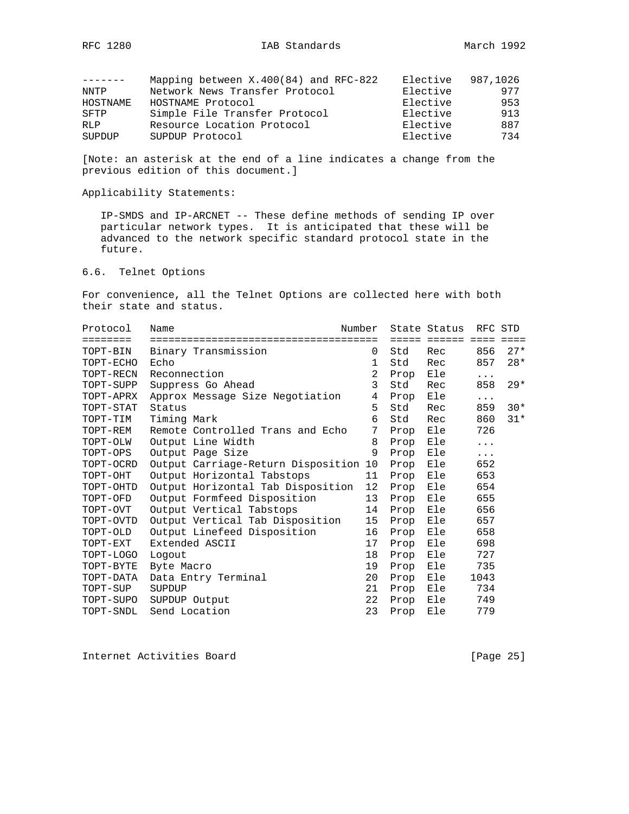|            | Mapping between $X.400(84)$ and RFC-822 | Elective | 987,1026 |
|------------|-----------------------------------------|----------|----------|
| NNTP       | Network News Transfer Protocol          | Elective | 977      |
| HOSTNAME   | HOSTNAME Protocol                       | Elective | 953      |
| SFTP       | Simple File Transfer Protocol           | Elective | 913      |
| <b>RLP</b> | Resource Location Protocol              | Elective | 887      |
| SUPDUP     | SUPDUP Protocol                         | Elective | 734      |

[Note: an asterisk at the end of a line indicates a change from the previous edition of this document.]

Applicability Statements:

 IP-SMDS and IP-ARCNET -- These define methods of sending IP over particular network types. It is anticipated that these will be advanced to the network specific standard protocol state in the future.

6.6. Telnet Options

For convenience, all the Telnet Options are collected here with both their state and status.

|                                                    |    |      | State Status      |             | RFC STD     |
|----------------------------------------------------|----|------|-------------------|-------------|-------------|
| ========                                           |    |      | ===== ====== ==== |             | $=$ $=$ $=$ |
| TOPT-BIN<br>Binary Transmission                    | 0  | Std  | Rec               | 856         | $27*$       |
| TOPT-ECHO<br>Echo                                  | 1  | Std  | Rec               | 857         | $28*$       |
| TOPT-RECN<br>Reconnection                          | 2  | Prop | Ele               | $\cdots$    |             |
| TOPT-SUPP<br>Suppress Go Ahead                     | 3  | Std  | Rec               | 858         | $29*$       |
| TOPT-APRX<br>Approx Message Size Negotiation       | 4  | Prop | Ele               | $\cdots$    |             |
| TOPT-STAT<br>Status                                | 5  | Std  | Rec               | 859         | $30*$       |
| Timing Mark<br>TOPT-TIM                            | 6  | Std  | Rec               | 860         | $31*$       |
| Remote Controlled Trans and Echo<br>TOPT-REM       | 7  | Prop | Ele               | 726         |             |
| Output Line Width<br>TOPT-OLW                      | 8  | Prop | Ele               | $\ddots$    |             |
| TOPT-OPS<br>Output Page Size                       | 9  | Prop | Ele               | $\ddotsc$ . |             |
| TOPT-OCRD<br>Output Carriage-Return Disposition 10 |    | Prop | Ele               | 652         |             |
| Output Horizontal Tabstops<br>TOPT-OHT             | 11 | Prop | Ele               | 653         |             |
| Output Horizontal Tab Disposition<br>TOPT-OHTD     | 12 | Prop | Ele               | 654         |             |
| Output Formfeed Disposition<br>TOPT-OFD            | 13 | Prop | Ele               | 655         |             |
| Output Vertical Tabstops<br>TOPT-OVT               | 14 | Prop | Ele               | 656         |             |
| Output Vertical Tab Disposition<br>TOPT-OVTD       | 15 | Prop | Ele               | 657         |             |
| Output Linefeed Disposition<br>TOPT-OLD            | 16 | Prop | Ele               | 658         |             |
| TOPT-EXT<br>Extended ASCII                         | 17 | Prop | Ele               | 698         |             |
| TOPT-LOGO<br>Logout                                | 18 | Prop | Ele               | 727         |             |
| TOPT-BYTE<br>Byte Macro                            | 19 | Prop | Ele               | 735         |             |
| Data Entry Terminal<br>TOPT-DATA                   | 20 | Prop | Ele               | 1043        |             |
| TOPT-SUP<br>SUPDUP                                 | 21 | Prop | Ele               | 734         |             |
| TOPT-SUPO<br>SUPDUP Output                         | 22 | Prop | Ele               | 749         |             |
| Send Location<br>TOPT-SNDL                         | 23 | Prop | Ele               | 779         |             |

Internet Activities Board [Page 25]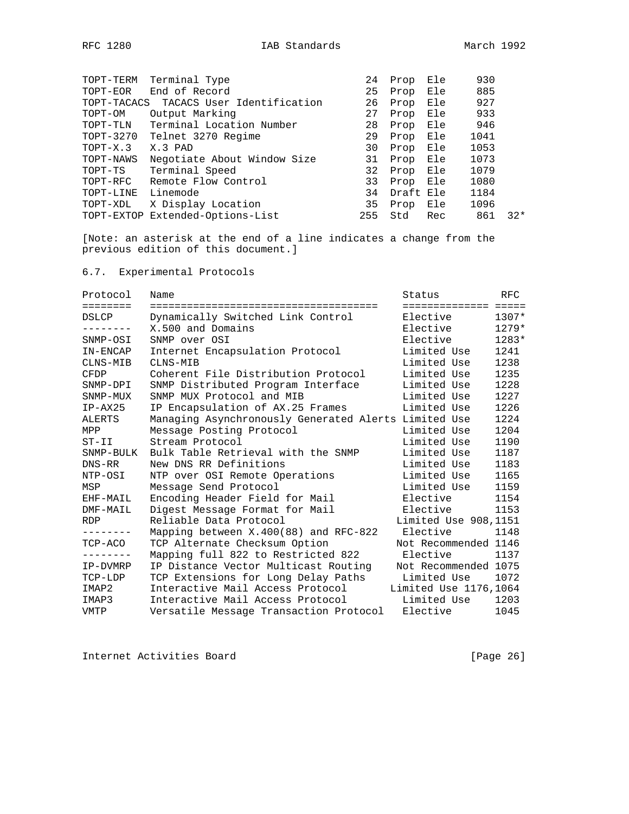| TOPT-TERM   | Terminal Type                    | 24  | Prop      | Ele | 930  |       |
|-------------|----------------------------------|-----|-----------|-----|------|-------|
| TOPT-EOR    | End of Record                    | 25  | Prop      | Ele | 885  |       |
| TOPT-TACACS | TACACS User Identification       | 26  | Prop      | Ele | 927  |       |
| TOPT-OM     | Output Marking                   | 27  | Prop      | Ele | 933  |       |
| TOPT-TLN    | Terminal Location Number         | 28  | Prop      | Ele | 946  |       |
| TOPT-3270   | Telnet 3270 Regime               | 29  | Prop      | Ele | 1041 |       |
| $TOPT-X.3$  | X.3 PAD                          | 30  | Prop      | Ele | 1053 |       |
| TOPT-NAWS   | Negotiate About Window Size      | 31  | Prop      | Ele | 1073 |       |
| TOPT-TS     | Terminal Speed                   | 32  | Prop      | Ele | 1079 |       |
| TOPT-RFC    | Remote Flow Control              | 33  | Prop      | Ele | 1080 |       |
| TOPT-LINE   | Linemode                         | 34  | Draft Ele |     | 1184 |       |
| TOPT-XDL    | X Display Location               | 35  | Prop      | Ele | 1096 |       |
|             | TOPT-EXTOP Extended-Options-List | 255 | Std       | Rec | 861  | $32*$ |
|             |                                  |     |           |     |      |       |

[Note: an asterisk at the end of a line indicates a change from the previous edition of this document.]

6.7. Experimental Protocols

| Protocol                                                                | Name                                                 | Status                | RFC     |
|-------------------------------------------------------------------------|------------------------------------------------------|-----------------------|---------|
| $\qquad \qquad \equiv \equiv \equiv \equiv \equiv \equiv \equiv \equiv$ |                                                      | ============== =====  |         |
| DSLCP                                                                   | Dynamically Switched Link Control                    | Elective              | $1307*$ |
|                                                                         | X.500 and Domains                                    | Elective              | $1279*$ |
| SNMP-OSI                                                                | SNMP over OSI                                        | Elective              | $1283*$ |
| IN-ENCAP                                                                | Internet Encapsulation Protocol                      | Limited Use           | 1241    |
| CLNS-MIB                                                                | CLNS-MIB                                             | Limited Use           | 1238    |
| <b>CFDP</b>                                                             | Coherent File Distribution Protocol                  | Limited Use           | 1235    |
| SNMP-DPI                                                                | SNMP Distributed Program Interface                   | Limited Use           | 1228    |
| SNMP-MUX                                                                | SNMP MUX Protocol and MIB                            | Limited Use           | 1227    |
| $IP-AX25$                                                               | IP Encapsulation of AX.25 Frames                     | Limited Use           | 1226    |
| ALERTS                                                                  | Managing Asynchronously Generated Alerts Limited Use |                       | 1224    |
| MPP                                                                     | Message Posting Protocol                             | Limited Use           | 1204    |
| $ST-II$                                                                 | Stream Protocol                                      | Limited Use           | 1190    |
| SNMP-BULK                                                               | Bulk Table Retrieval with the SNMP                   | Limited Use           | 1187    |
| DNS-RR                                                                  | New DNS RR Definitions                               | Limited Use           | 1183    |
| NTP-OSI                                                                 | NTP over OSI Remote Operations                       | Limited Use           | 1165    |
| MSP                                                                     | Message Send Protocol                                | Limited Use           | 1159    |
| EHF-MAIL                                                                | Encoding Header Field for Mail                       | Elective              | 1154    |
| DMF-MAIL                                                                | Digest Message Format for Mail                       | Elective              | 1153    |
| <b>RDP</b>                                                              | Reliable Data Protocol                               | Limited Use 908, 1151 |         |
| --------                                                                | Mapping between X.400(88) and RFC-822                | Elective              | 1148    |
| TCP-ACO                                                                 | TCP Alternate Checksum Option                        | Not Recommended 1146  |         |
|                                                                         | Mapping full 822 to Restricted 822                   | Elective              | 1137    |
| IP-DVMRP                                                                | IP Distance Vector Multicast Routing                 | Not Recommended 1075  |         |
| TCP-LDP                                                                 | TCP Extensions for Long Delay Paths                  | Limited Use           | 1072    |
| IMAP2                                                                   | Interactive Mail Access Protocol                     | Limited Use 1176,1064 |         |
| IMAP3                                                                   | Interactive Mail Access Protocol                     | Limited Use           | 1203    |
| VMTP                                                                    | Versatile Message Transaction Protocol               | Elective              | 1045    |

Internet Activities Board [Page 26]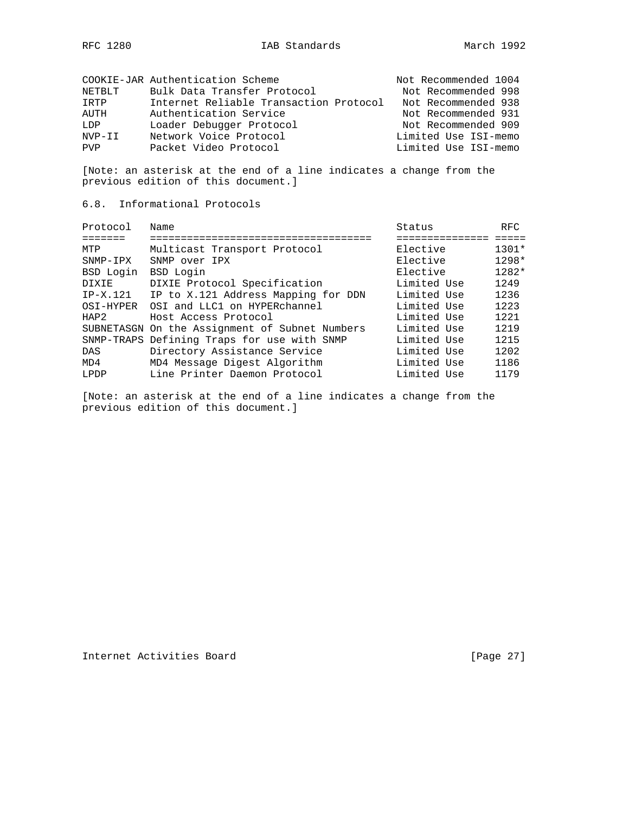|            | COOKIE-JAR Authentication Scheme       | Not Recommended 1004 |
|------------|----------------------------------------|----------------------|
| NETBLT     | Bulk Data Transfer Protocol            | Not Recommended 998  |
| TRTP       | Internet Reliable Transaction Protocol | Not Recommended 938  |
| AUTH       | Authentication Service                 | Not Recommended 931  |
| LDP        | Loader Debugger Protocol               | Not Recommended 909  |
| NVP-II     | Network Voice Protocol                 | Limited Use ISI-memo |
| <b>PVP</b> | Packet Video Protocol                  | Limited Use ISI-memo |

[Note: an asterisk at the end of a line indicates a change from the previous edition of this document.]

## 6.8. Informational Protocols

| Protocol   | Name                                           | Status       | <b>RFC</b> |
|------------|------------------------------------------------|--------------|------------|
|            | ----------------------                         | ============ |            |
| MTP        | Multicast Transport Protocol                   | Elective     | $1301*$    |
| $SNNP-IPX$ | SNMP over IPX                                  | Elective     | $1298*$    |
| BSD Login  | BSD Login                                      | Elective     | $1282*$    |
| DIXIE      | DIXIE Protocol Specification                   | Limited Use  | 1249       |
| $IP-X.121$ | IP to X.121 Address Mapping for DDN            | Limited Use  | 1236       |
| OSI-HYPER  | OSI and LLC1 on HYPERchannel                   | Limited Use  | 1223       |
| HAP2       | Host Access Protocol                           | Limited Use  | 1221       |
|            | SUBNETASGN On the Assignment of Subnet Numbers | Limited Use  | 1219       |
|            | SNMP-TRAPS Defining Traps for use with SNMP    | Limited Use  | 1215       |
| <b>DAS</b> | Directory Assistance Service                   | Limited Use  | 1202       |
| MD4        | MD4 Message Digest Algorithm                   | Limited Use  | 1186       |
| LPDP       | Line Printer Daemon Protocol                   | Limited Use  | 1179       |

[Note: an asterisk at the end of a line indicates a change from the previous edition of this document.]

Internet Activities Board [Page 27]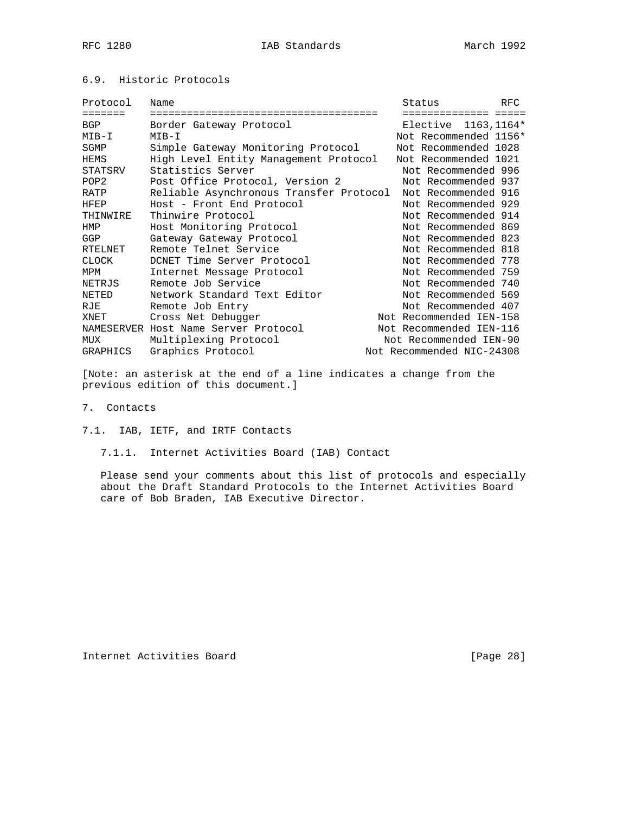# 6.9. Historic Protocols

| Name                                 | Status                  | <b>RFC</b>                                                                                                    |
|--------------------------------------|-------------------------|---------------------------------------------------------------------------------------------------------------|
|                                      | ----------              |                                                                                                               |
| Border Gateway Protocol              | Elective 1163, 1164*    |                                                                                                               |
| MIB-I                                | Not Recommended 1156*   |                                                                                                               |
| Simple Gateway Monitoring Protocol   | Not Recommended 1028    |                                                                                                               |
|                                      | Not Recommended 1021    |                                                                                                               |
| Statistics Server                    | Not Recommended 996     |                                                                                                               |
| Post Office Protocol, Version 2      | Not Recommended 937     |                                                                                                               |
|                                      | Not Recommended 916     |                                                                                                               |
| Host - Front End Protocol            | Not Recommended 929     |                                                                                                               |
| Thinwire Protocol                    | Not Recommended 914     |                                                                                                               |
| Host Monitoring Protocol             | Not Recommended 869     |                                                                                                               |
| Gateway Gateway Protocol             | Not Recommended 823     |                                                                                                               |
| Remote Telnet Service                | Not Recommended 818     |                                                                                                               |
| DCNET Time Server Protocol           | Not Recommended 778     |                                                                                                               |
| Internet Message Protocol            | Not Recommended 759     |                                                                                                               |
| Remote Job Service                   | Not Recommended 740     |                                                                                                               |
| Network Standard Text Editor         | Not Recommended 569     |                                                                                                               |
| Remote Job Entry                     | Not Recommended 407     |                                                                                                               |
| Cross Net Debugger                   | Not Recommended IEN-158 |                                                                                                               |
| NAMESERVER Host Name Server Protocol | Not Recommended IEN-116 |                                                                                                               |
| Multiplexing Protocol                | Not Recommended IEN-90  |                                                                                                               |
| Graphics Protocol                    |                         |                                                                                                               |
|                                      |                         | High Level Entity Management Protocol<br>Reliable Asynchronous Transfer Protocol<br>Not Recommended NIC-24308 |

[Note: an asterisk at the end of a line indicates a change from the previous edition of this document.]

7. Contacts

7.1. IAB, IETF, and IRTF Contacts

7.1.1. Internet Activities Board (IAB) Contact

 Please send your comments about this list of protocols and especially about the Draft Standard Protocols to the Internet Activities Board care of Bob Braden, IAB Executive Director.

Internet Activities Board [Page 28]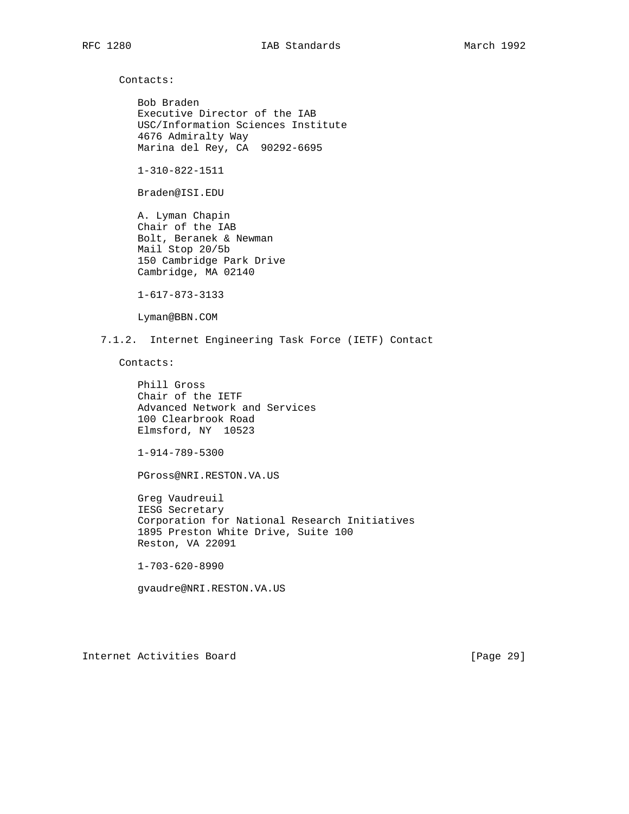Contacts:

 Bob Braden Executive Director of the IAB USC/Information Sciences Institute 4676 Admiralty Way Marina del Rey, CA 90292-6695

1-310-822-1511

Braden@ISI.EDU

 A. Lyman Chapin Chair of the IAB Bolt, Beranek & Newman Mail Stop 20/5b 150 Cambridge Park Drive Cambridge, MA 02140

1-617-873-3133

Lyman@BBN.COM

7.1.2. Internet Engineering Task Force (IETF) Contact

Contacts:

 Phill Gross Chair of the IETF Advanced Network and Services 100 Clearbrook Road Elmsford, NY 10523

1-914-789-5300

PGross@NRI.RESTON.VA.US

 Greg Vaudreuil IESG Secretary Corporation for National Research Initiatives 1895 Preston White Drive, Suite 100 Reston, VA 22091

1-703-620-8990

gvaudre@NRI.RESTON.VA.US

Internet Activities Board [Page 29]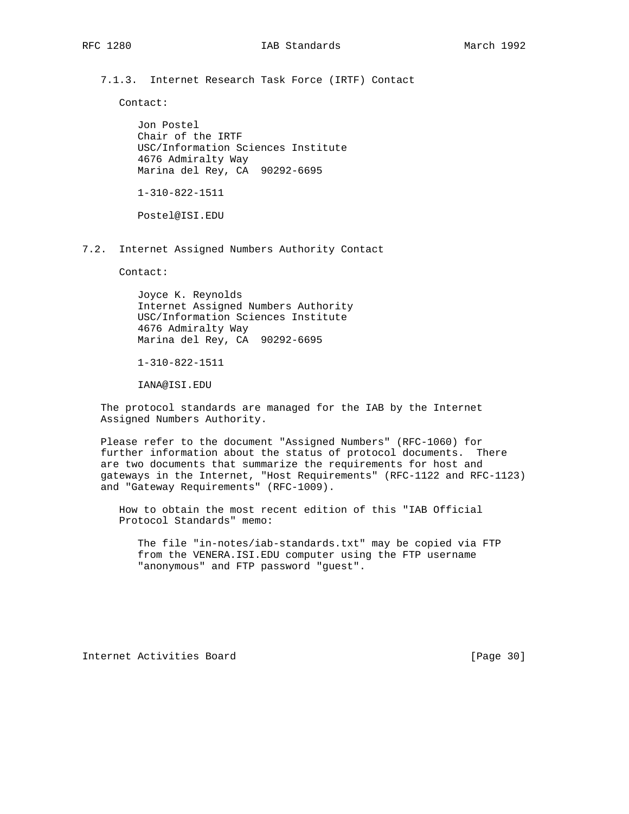7.1.3. Internet Research Task Force (IRTF) Contact

Contact:

 Jon Postel Chair of the IRTF USC/Information Sciences Institute 4676 Admiralty Way Marina del Rey, CA 90292-6695

1-310-822-1511

Postel@ISI.EDU

7.2. Internet Assigned Numbers Authority Contact

Contact:

 Joyce K. Reynolds Internet Assigned Numbers Authority USC/Information Sciences Institute 4676 Admiralty Way Marina del Rey, CA 90292-6695

1-310-822-1511

IANA@ISI.EDU

 The protocol standards are managed for the IAB by the Internet Assigned Numbers Authority.

 Please refer to the document "Assigned Numbers" (RFC-1060) for further information about the status of protocol documents. There are two documents that summarize the requirements for host and gateways in the Internet, "Host Requirements" (RFC-1122 and RFC-1123) and "Gateway Requirements" (RFC-1009).

 How to obtain the most recent edition of this "IAB Official Protocol Standards" memo:

 The file "in-notes/iab-standards.txt" may be copied via FTP from the VENERA.ISI.EDU computer using the FTP username "anonymous" and FTP password "guest".

Internet Activities Board [Page 30]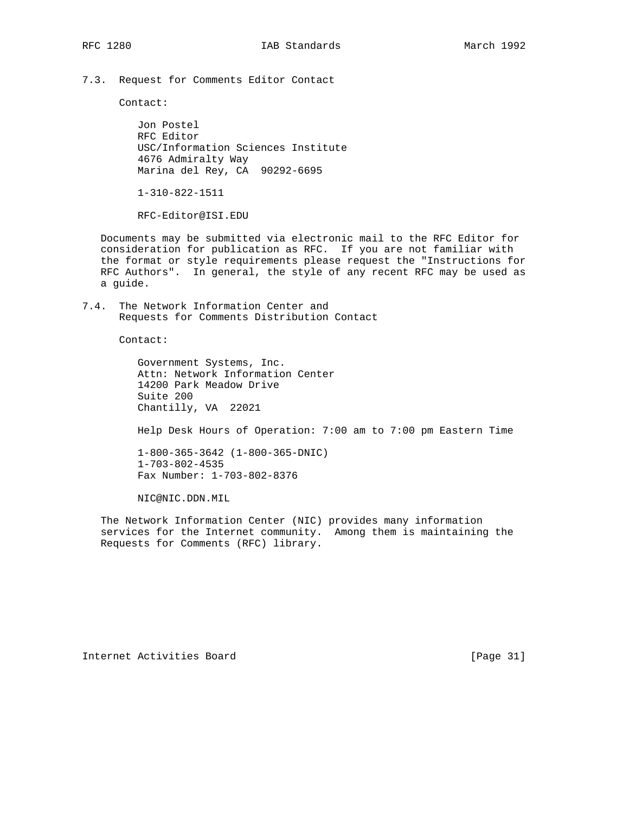7.3. Request for Comments Editor Contact

Contact:

 Jon Postel RFC Editor USC/Information Sciences Institute 4676 Admiralty Way Marina del Rey, CA 90292-6695

1-310-822-1511

RFC-Editor@ISI.EDU

 Documents may be submitted via electronic mail to the RFC Editor for consideration for publication as RFC. If you are not familiar with the format or style requirements please request the "Instructions for RFC Authors". In general, the style of any recent RFC may be used as a guide.

7.4. The Network Information Center and Requests for Comments Distribution Contact

Contact:

 Government Systems, Inc. Attn: Network Information Center 14200 Park Meadow Drive Suite 200 Chantilly, VA 22021

Help Desk Hours of Operation: 7:00 am to 7:00 pm Eastern Time

 1-800-365-3642 (1-800-365-DNIC) 1-703-802-4535 Fax Number: 1-703-802-8376

NIC@NIC.DDN.MIL

 The Network Information Center (NIC) provides many information services for the Internet community. Among them is maintaining the Requests for Comments (RFC) library.

Internet Activities Board [Page 31]